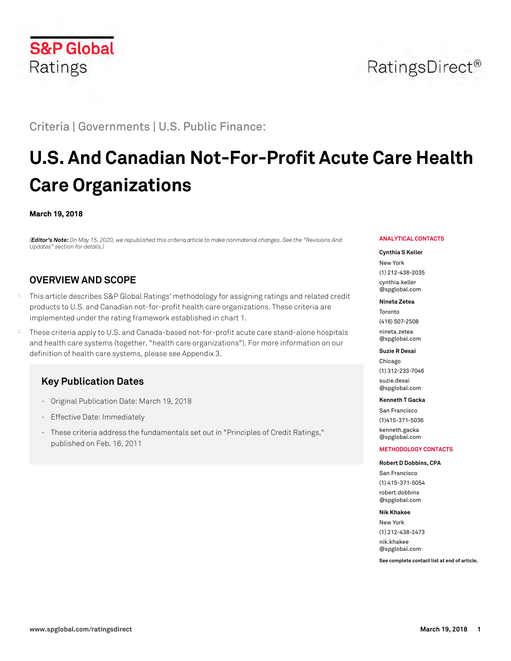

# Criteria | Governments | U.S. Public Finance:

# **U.S. And Canadian Not-For-Profit Acute Care Health Care Organizations**

### **March 19, 2018**

*(Editor's Note: On May 15, 2020, we republished this criteria article to make nonmaterial changes. See the "Revisions And Updates" section for details.)*

# **OVERVIEW AND SCOPE**

- <sup>1.</sup> This article describes S&P Global Ratings' methodology for assigning ratings and related credit products to U.S. and Canadian not-for-profit health care organizations. These criteria are implemented under the rating framework established in chart 1.
- 2. These criteria apply to U.S. and Canada-based not-for-profit acute care stand-alone hospitals and health care systems (together, "health care organizations"). For more information on our definition of health care systems, please see Appendix 3.

# **Key Publication Dates**

- Original Publication Date: March 19, 2018
- Effective Date: Immediately
- These criteria address the fundamentals set out in "Principles of Credit Ratings," published on Feb. 16, 2011

#### **ANALYTICAL CONTACTS**

#### **Cynthia S Keller**

New York (1) 212-438-2035 [cynthia.keller](mailto: cynthia.keller@spglobal.com) [@spglobal.com](mailto: cynthia.keller@spglobal.com)

#### **Nineta Zetea**

Toronto (416) 507-2508 [nineta.zetea](mailto: nineta.zetea@spglobal.com) [@spglobal.com](mailto: nineta.zetea@spglobal.com)

#### **Suzie R Desai**

Chicago (1) 312-233-7046 [suzie.desai](mailto: suzie.desai@spglobal.com) [@spglobal.com](mailto: suzie.desai@spglobal.com)

#### **Kenneth T Gacka**

San Francisco (1)415-371-5036 [kenneth.gacka](mailto: kenneth.gacka@spglobal.com) [@spglobal.com](mailto: kenneth.gacka@spglobal.com)

#### **METHODOLOGY CONTACTS**

#### **Robert D Dobbins, CPA**

San Francisco (1) 415-371-5054 [robert.dobbins](mailto: robert.dobbins@spglobal.com) [@spglobal.com](mailto: robert.dobbins@spglobal.com)

#### **Nik Khakee**

New York (1) 212-438-2473 [nik.khakee](mailto: nik.khakee@spglobal.com) [@spglobal.com](mailto: nik.khakee@spglobal.com)

**See complete contact list at end of article.**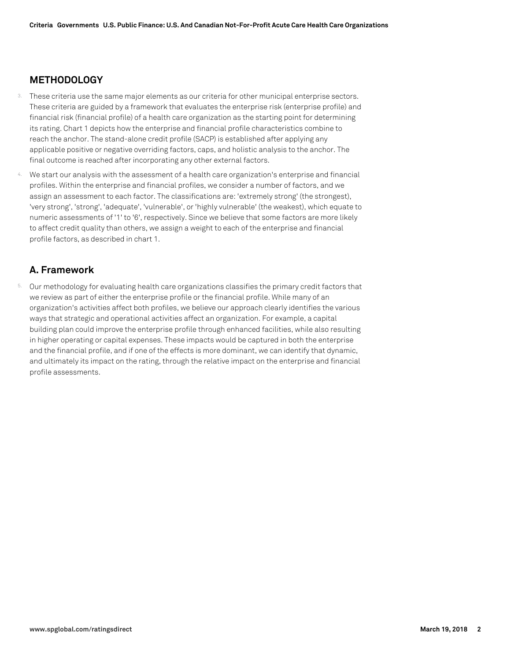# **METHODOLOGY**

- These criteria use the same major elements as our criteria for other municipal enterprise sectors. These criteria are guided by a framework that evaluates the enterprise risk (enterprise profile) and financial risk (financial profile) of a health care organization as the starting point for determining its rating. Chart 1 depicts how the enterprise and financial profile characteristics combine to reach the anchor. The stand-alone credit profile (SACP) is established after applying any applicable positive or negative overriding factors, caps, and holistic analysis to the anchor. The final outcome is reached after incorporating any other external factors.
- We start our analysis with the assessment of a health care organization's enterprise and financial profiles. Within the enterprise and financial profiles, we consider a number of factors, and we assign an assessment to each factor. The classifications are: 'extremely strong' (the strongest), 'very strong', 'strong', 'adequate', 'vulnerable', or 'highly vulnerable' (the weakest), which equate to numeric assessments of '1' to '6', respectively. Since we believe that some factors are more likely to affect credit quality than others, we assign a weight to each of the enterprise and financial profile factors, as described in chart 1.

# **A. Framework**

5. Our methodology for evaluating health care organizations classifies the primary credit factors that we review as part of either the enterprise profile or the financial profile. While many of an organization's activities affect both profiles, we believe our approach clearly identifies the various ways that strategic and operational activities affect an organization. For example, a capital building plan could improve the enterprise profile through enhanced facilities, while also resulting in higher operating or capital expenses. These impacts would be captured in both the enterprise and the financial profile, and if one of the effects is more dominant, we can identify that dynamic, and ultimately its impact on the rating, through the relative impact on the enterprise and financial profile assessments.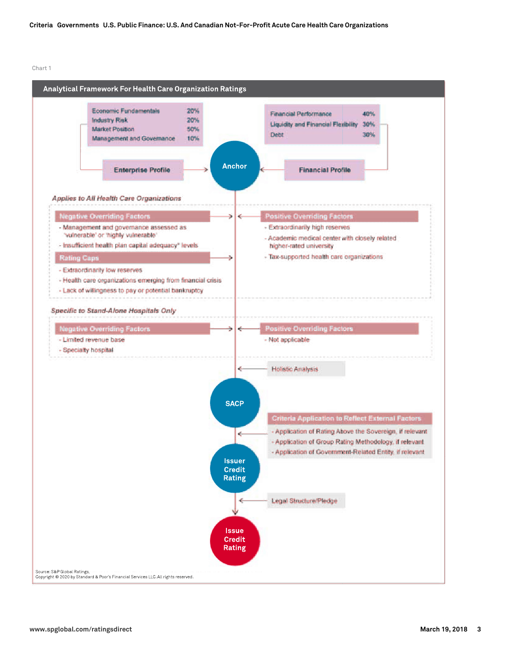Chart 1

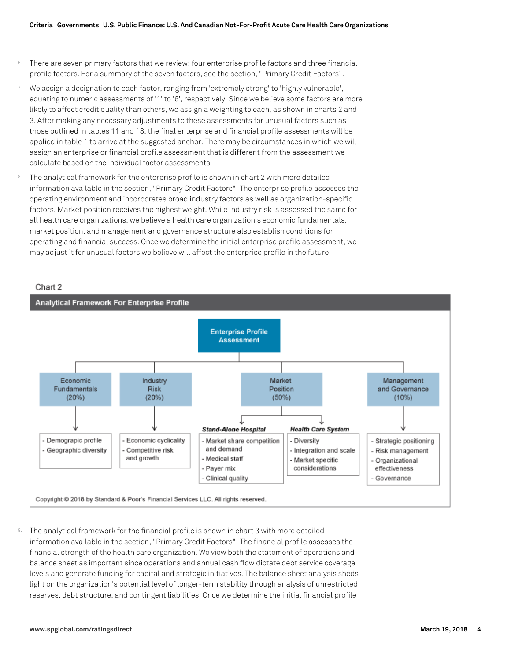- 6. There are seven primary factors that we review: four enterprise profile factors and three financial profile factors. For a summary of the seven factors, see the section, "Primary Credit Factors".
- 7. We assign a designation to each factor, ranging from 'extremely strong' to 'highly vulnerable', equating to numeric assessments of '1' to '6', respectively. Since we believe some factors are more likely to affect credit quality than others, we assign a weighting to each, as shown in charts 2 and 3. After making any necessary adjustments to these assessments for unusual factors such as those outlined in tables 11 and 18, the final enterprise and financial profile assessments will be applied in table 1 to arrive at the suggested anchor. There may be circumstances in which we will assign an enterprise or financial profile assessment that is different from the assessment we calculate based on the individual factor assessments.
- 8. The analytical framework for the enterprise profile is shown in chart 2 with more detailed information available in the section, "Primary Credit Factors". The enterprise profile assesses the operating environment and incorporates broad industry factors as well as organization-specific factors. Market position receives the highest weight. While industry risk is assessed the same for all health care organizations, we believe a health care organization's economic fundamentals, market position, and management and governance structure also establish conditions for operating and financial success. Once we determine the initial enterprise profile assessment, we may adjust it for unusual factors we believe will affect the enterprise profile in the future.

#### Chart 2



 $9.$  The analytical framework for the financial profile is shown in chart 3 with more detailed information available in the section, "Primary Credit Factors". The financial profile assesses the financial strength of the health care organization. We view both the statement of operations and balance sheet as important since operations and annual cash flow dictate debt service coverage levels and generate funding for capital and strategic initiatives. The balance sheet analysis sheds light on the organization's potential level of longer-term stability through analysis of unrestricted reserves, debt structure, and contingent liabilities. Once we determine the initial financial profile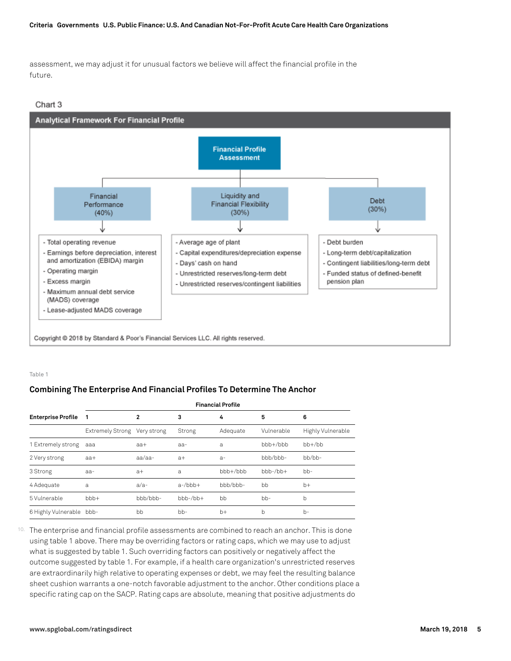#### **Criteria Governments U.S. Public Finance: U.S. And Canadian Not-For-Profit Acute Care Health Care Organizations**

assessment, we may adjust it for unusual factors we believe will affect the financial profile in the future.

#### Chart 3



#### Table 1

# **Combining The Enterprise And Financial Profiles To Determine The Anchor**

|                           | <b>Financial Profile</b> |                |                  |                |                  |                   |
|---------------------------|--------------------------|----------------|------------------|----------------|------------------|-------------------|
| <b>Enterprise Profile</b> | 1                        | $\overline{2}$ | 3                | 4              | 5                | 6                 |
|                           | <b>Extremely Strong</b>  | Very strong    | Strong           | Adequate       | Vulnerable       | Highly Vulnerable |
| 1 Extremely strong        | aaa                      | $aa+$          | aa-              | a              | $bbh + / b$ hh   | $bh+/bh$          |
| 2 Very strong             | $aa+$                    | aa/aa-         | $a+$             | $a-$           | bbb/bbb-         | $bh/bb$ -         |
| 3 Strong                  | aa-                      | $a+$           | a                | $bbh + / b$ hh | $bbb-b$ -/ $bb+$ | $bb-$             |
| 4 Adequate                | a                        | $a/a-$         | $a$ -/bbb+       | bb/b           | bb               | $b+$              |
| 5 Vulnerable              | $bbb +$                  | bbb/bbb-       | $bbh-b$ -/ $bh+$ | bb             | $bb-$            | b                 |
| 6 Highly Vulnerable       | bbb-                     | bb             | $bb-$            | $b+$           | b                | $b -$             |

10. The enterprise and financial profile assessments are combined to reach an anchor. This is done using table 1 above. There may be overriding factors or rating caps, which we may use to adjust what is suggested by table 1. Such overriding factors can positively or negatively affect the outcome suggested by table 1. For example, if a health care organization's unrestricted reserves are extraordinarily high relative to operating expenses or debt, we may feel the resulting balance sheet cushion warrants a one-notch favorable adjustment to the anchor. Other conditions place a specific rating cap on the SACP. Rating caps are absolute, meaning that positive adjustments do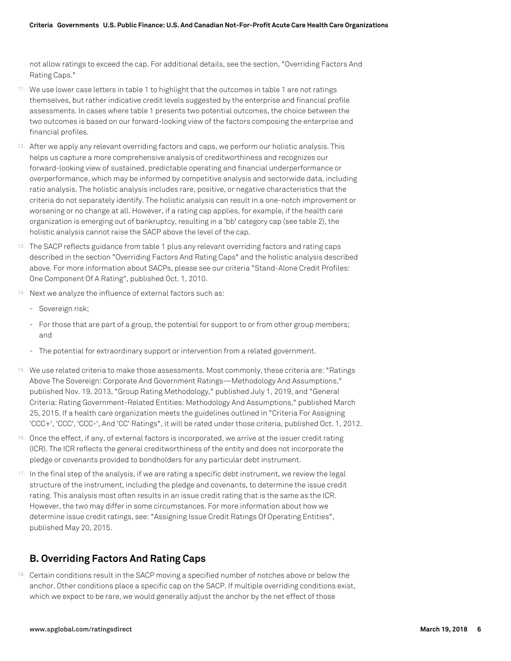not allow ratings to exceed the cap. For additional details, see the section, "Overriding Factors And Rating Caps."

- 11. We use lower case letters in table 1 to highlight that the outcomes in table 1 are not ratings themselves, but rather indicative credit levels suggested by the enterprise and financial profile assessments. In cases where table 1 presents two potential outcomes, the choice between the two outcomes is based on our forward-looking view of the factors composing the enterprise and financial profiles.
- 12. After we apply any relevant overriding factors and caps, we perform our holistic analysis. This helps us capture a more comprehensive analysis of creditworthiness and recognizes our forward-looking view of sustained, predictable operating and financial underperformance or overperformance, which may be informed by competitive analysis and sectorwide data, including ratio analysis. The holistic analysis includes rare, positive, or negative characteristics that the criteria do not separately identify. The holistic analysis can result in a one-notch improvement or worsening or no change at all. However, if a rating cap applies, for example, if the health care organization is emerging out of bankruptcy, resulting in a 'bb' category cap (see table 2), the holistic analysis cannot raise the SACP above the level of the cap.
- 13. The SACP reflects guidance from table 1 plus any relevant overriding factors and rating caps described in the section "Overriding Factors And Rating Caps" and the holistic analysis described above. For more information about SACPs, please see our criteria "Stand-Alone Credit Profiles: One Component Of A Rating", published Oct. 1, 2010.
- 14. Next we analyze the influence of external factors such as:
	- Sovereign risk;
	- For those that are part of a group, the potential for support to or from other group members; and
	- The potential for extraordinary support or intervention from a related government.
- 15. We use related criteria to make those assessments. Most commonly, these criteria are: "Ratings Above The Sovereign: Corporate And Government Ratings—Methodology And Assumptions," published Nov. 19, 2013, "Group Rating Methodology," published July 1, 2019, and "General Criteria: Rating Government-Related Entities: Methodology And Assumptions," published March 25, 2015. If a health care organization meets the guidelines outlined in "Criteria For Assigning 'CCC+', 'CCC', 'CCC-', And 'CC' Ratings", it will be rated under those criteria, published Oct. 1, 2012.
- 16. Once the effect, if any, of external factors is incorporated, we arrive at the issuer credit rating (ICR). The ICR reflects the general creditworthiness of the entity and does not incorporate the pledge or covenants provided to bondholders for any particular debt instrument.
- 17. In the final step of the analysis, if we are rating a specific debt instrument, we review the legal structure of the instrument, including the pledge and covenants, to determine the issue credit rating. This analysis most often results in an issue credit rating that is the same as the ICR. However, the two may differ in some circumstances. For more information about how we determine issue credit ratings, see: "Assigning Issue Credit Ratings Of Operating Entities", published May 20, 2015.

# **B. Overriding Factors And Rating Caps**

18. Certain conditions result in the SACP moving a specified number of notches above or below the anchor. Other conditions place a specific cap on the SACP. If multiple overriding conditions exist, which we expect to be rare, we would generally adjust the anchor by the net effect of those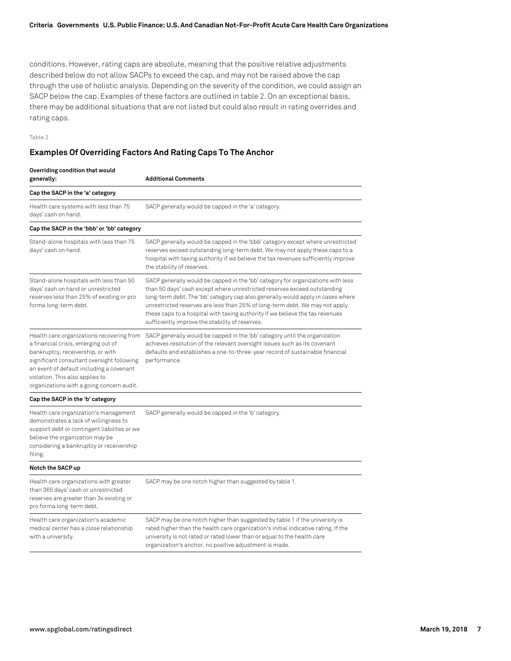conditions. However, rating caps are absolute, meaning that the positive relative adjustments described below do not allow SACPs to exceed the cap, and may not be raised above the cap through the use of holistic analysis. Depending on the severity of the condition, we could assign an SACP below the cap. Examples of these factors are outlined in table 2. On an exceptional basis, there may be additional situations that are not listed but could also result in rating overrides and rating caps.

Table 2

# **Examples Of Overriding Factors And Rating Caps To The Anchor**

| Overriding condition that would<br>generally:                                                                                                                                                                                                                                                   | <b>Additional Comments</b>                                                                                                                                                                                                                                                                                                                                                                                                                                        |
|-------------------------------------------------------------------------------------------------------------------------------------------------------------------------------------------------------------------------------------------------------------------------------------------------|-------------------------------------------------------------------------------------------------------------------------------------------------------------------------------------------------------------------------------------------------------------------------------------------------------------------------------------------------------------------------------------------------------------------------------------------------------------------|
| Cap the SACP in the 'a' category                                                                                                                                                                                                                                                                |                                                                                                                                                                                                                                                                                                                                                                                                                                                                   |
| Health care systems with less than 75<br>days' cash on hand.                                                                                                                                                                                                                                    | SACP generally would be capped in the 'a' category.                                                                                                                                                                                                                                                                                                                                                                                                               |
| Cap the SACP in the 'bbb' or 'bb' category                                                                                                                                                                                                                                                      |                                                                                                                                                                                                                                                                                                                                                                                                                                                                   |
| Stand-alone hospitals with less than 75<br>days' cash on hand.                                                                                                                                                                                                                                  | SACP generally would be capped in the 'bbb' category except where unrestricted<br>reserves exceed outstanding long-term debt. We may not apply these caps to a<br>hospital with taxing authority if we believe the tax revenues sufficiently improve<br>the stability of reserves.                                                                                                                                                                                |
| Stand-alone hospitals with less than 50<br>days' cash on hand or unrestricted<br>reserves less than 25% of existing or pro<br>forma long-term debt.                                                                                                                                             | SACP generally would be capped in the 'bb' category for organizations with less<br>than 50 days' cash except where unrestricted reserves exceed outstanding<br>long-term debt. The 'bb' category cap also generally would apply in cases where<br>unrestricted reserves are less than 25% of long-term debt. We may not apply<br>these caps to a hospital with taxing authority if we believe the tax revenues<br>sufficiently improve the stability of reserves. |
| Health care organizations recovering from<br>a financial crisis, emerging out of<br>bankruptcy, receivership, or with<br>significant consultant oversight following<br>an event of default including a covenant<br>violation. This also applies to<br>organizations with a going concern audit. | SACP generally would be capped in the 'bb' category until the organization<br>achieves resolution of the relevant oversight issues such as its covenant<br>defaults and establishes a one-to-three-year record of sustainable financial<br>performance.                                                                                                                                                                                                           |
| Cap the SACP in the 'b' category                                                                                                                                                                                                                                                                |                                                                                                                                                                                                                                                                                                                                                                                                                                                                   |
| Health care organization's management<br>demonstrates a lack of willingness to<br>support debt or contingent liabilites or we<br>believe the organization may be<br>considering a bankruptcy or receivership<br>filing.                                                                         | SACP generally would be capped in the 'b' category.                                                                                                                                                                                                                                                                                                                                                                                                               |
| Notch the SACP up                                                                                                                                                                                                                                                                               |                                                                                                                                                                                                                                                                                                                                                                                                                                                                   |
| Health care organizations with greater<br>than 365 days' cash or unrestricted<br>reserves are greater than 3x existing or<br>pro forma long-term debt.                                                                                                                                          | SACP may be one notch higher than suggested by table 1.                                                                                                                                                                                                                                                                                                                                                                                                           |
| Health care organization's academic<br>medical center has a close relationship<br>with a university.                                                                                                                                                                                            | SACP may be one notch higher than suggested by table 1 if the university is<br>rated higher than the health care organization's initial indicative rating. If the<br>university is not rated or rated lower than or equal to the health care<br>organization's anchor, no positive adjustment is made.                                                                                                                                                            |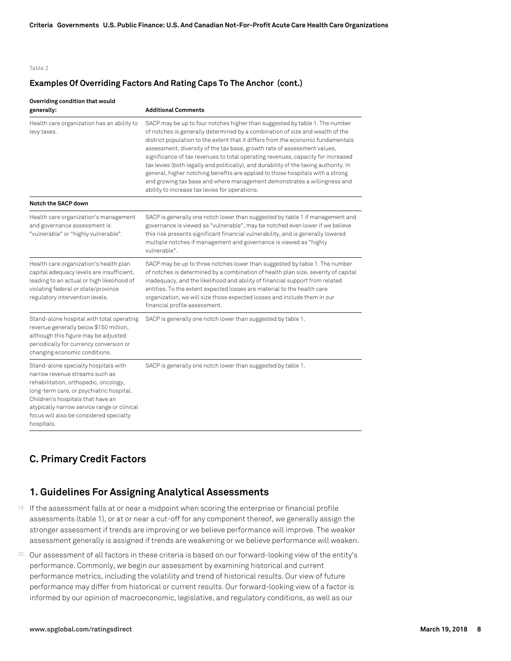#### Table 2

### **Examples Of Overriding Factors And Rating Caps To The Anchor (cont.)**

#### **Overriding condition that would**

| generally:                                                                                                                                                                                                                                                                                               | <b>Additional Comments</b>                                                                                                                                                                                                                                                                                                                                                                                                                                                                                                                                                                                                                                                                                                |
|----------------------------------------------------------------------------------------------------------------------------------------------------------------------------------------------------------------------------------------------------------------------------------------------------------|---------------------------------------------------------------------------------------------------------------------------------------------------------------------------------------------------------------------------------------------------------------------------------------------------------------------------------------------------------------------------------------------------------------------------------------------------------------------------------------------------------------------------------------------------------------------------------------------------------------------------------------------------------------------------------------------------------------------------|
| Health care organization has an ability to<br>levy taxes.                                                                                                                                                                                                                                                | SACP may be up to four notches higher than suggested by table 1. The number<br>of notches is generally determined by a combination of size and wealth of the<br>district population to the extent that it differs from the economic fundamentals<br>assessment, diversity of the tax base, growth rate of assessment values,<br>significance of tax revenues to total operating revenues, capacity for increased<br>tax levies (both legally and politically), and durability of the taxing authority. In<br>general, higher notching benefits are applied to those hospitals with a strong<br>and growing tax base and where management demonstrates a willingness and<br>ability to increase tax levies for operations. |
| Notch the SACP down                                                                                                                                                                                                                                                                                      |                                                                                                                                                                                                                                                                                                                                                                                                                                                                                                                                                                                                                                                                                                                           |
| Health care organization's management<br>and governance assessment is<br>"vulnerable" or "highly vulnerable".                                                                                                                                                                                            | SACP is generally one notch lower than suggested by table 1 if management and<br>governance is viewed as "vulnerable", may be notched even lower if we believe<br>this risk presents significant financial vulnerability, and is generally lowered<br>multiple notches if management and governance is viewed as "highly<br>vulnerable".                                                                                                                                                                                                                                                                                                                                                                                  |
| Health care organization's health plan<br>capital adequacy levels are insufficient,<br>leading to an actual or high likelihood of<br>violating federal or state/province<br>regulatory intervention levels.                                                                                              | SACP may be up to three notches lower than suggested by table 1. The number<br>of notches is determined by a combination of health plan size, severity of capital<br>inadequacy, and the likelihood and ability of financial support from related<br>entities. To the extent expected losses are material to the health care<br>organization, we will size those expected losses and include them in our<br>financial profile assessment.                                                                                                                                                                                                                                                                                 |
| Stand-alone hospital with total operating<br>revenue generally below \$150 million,<br>although this figure may be adjusted<br>periodically for currency conversion or<br>changing economic conditions.                                                                                                  | SACP is generally one notch lower than suggested by table 1.                                                                                                                                                                                                                                                                                                                                                                                                                                                                                                                                                                                                                                                              |
| Stand-alone specialty hospitals with<br>narrow revenue streams such as<br>rehabilitation, orthopedic, oncology,<br>long-term care, or psychiatric hospital.<br>Children's hospitals that have an<br>atypically narrow service range or clinical<br>focus will also be considered specialty<br>hospitals. | SACP is generally one notch lower than suggested by table 1.                                                                                                                                                                                                                                                                                                                                                                                                                                                                                                                                                                                                                                                              |

# **C. Primary Credit Factors**

# **1. Guidelines For Assigning Analytical Assessments**

- 19. If the assessment falls at or near a midpoint when scoring the enterprise or financial profile assessments (table 1), or at or near a cut-off for any component thereof, we generally assign the stronger assessment if trends are improving or we believe performance will improve. The weaker assessment generally is assigned if trends are weakening or we believe performance will weaken.
- 20. Our assessment of all factors in these criteria is based on our forward-looking view of the entity's performance. Commonly, we begin our assessment by examining historical and current performance metrics, including the volatility and trend of historical results. Our view of future performance may differ from historical or current results. Our forward-looking view of a factor is informed by our opinion of macroeconomic, legislative, and regulatory conditions, as well as our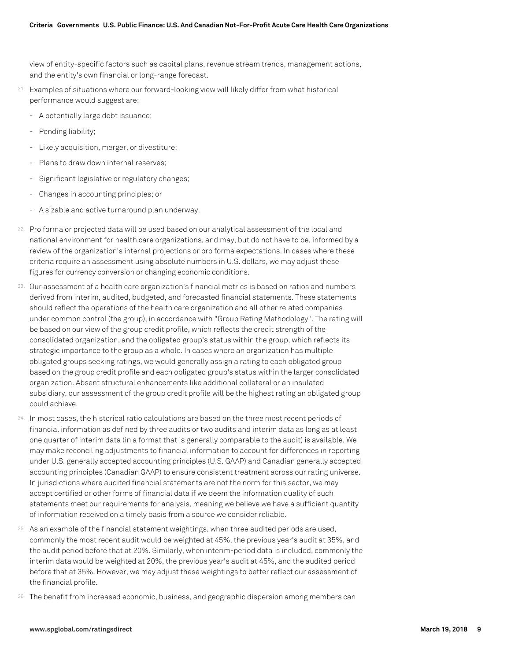view of entity-specific factors such as capital plans, revenue stream trends, management actions, and the entity's own financial or long-range forecast.

- 21. Examples of situations where our forward-looking view will likely differ from what historical performance would suggest are:
	- A potentially large debt issuance;
	- Pending liability;
	- Likely acquisition, merger, or divestiture;
	- Plans to draw down internal reserves;
	- Significant legislative or regulatory changes;
	- Changes in accounting principles; or
	- A sizable and active turnaround plan underway.
- 22. Pro forma or projected data will be used based on our analytical assessment of the local and national environment for health care organizations, and may, but do not have to be, informed by a review of the organization's internal projections or pro forma expectations. In cases where these criteria require an assessment using absolute numbers in U.S. dollars, we may adjust these figures for currency conversion or changing economic conditions.
- 23. Our assessment of a health care organization's financial metrics is based on ratios and numbers derived from interim, audited, budgeted, and forecasted financial statements. These statements should reflect the operations of the health care organization and all other related companies under common control (the group), in accordance with "Group Rating Methodology". The rating will be based on our view of the group credit profile, which reflects the credit strength of the consolidated organization, and the obligated group's status within the group, which reflects its strategic importance to the group as a whole. In cases where an organization has multiple obligated groups seeking ratings, we would generally assign a rating to each obligated group based on the group credit profile and each obligated group's status within the larger consolidated organization. Absent structural enhancements like additional collateral or an insulated subsidiary, our assessment of the group credit profile will be the highest rating an obligated group could achieve.
- 24. In most cases, the historical ratio calculations are based on the three most recent periods of financial information as defined by three audits or two audits and interim data as long as at least one quarter of interim data (in a format that is generally comparable to the audit) is available. We may make reconciling adjustments to financial information to account for differences in reporting under U.S. generally accepted accounting principles (U.S. GAAP) and Canadian generally accepted accounting principles (Canadian GAAP) to ensure consistent treatment across our rating universe. In jurisdictions where audited financial statements are not the norm for this sector, we may accept certified or other forms of financial data if we deem the information quality of such statements meet our requirements for analysis, meaning we believe we have a sufficient quantity of information received on a timely basis from a source we consider reliable.
- 25. As an example of the financial statement weightings, when three audited periods are used, commonly the most recent audit would be weighted at 45%, the previous year's audit at 35%, and the audit period before that at 20%. Similarly, when interim-period data is included, commonly the interim data would be weighted at 20%, the previous year's audit at 45%, and the audited period before that at 35%. However, we may adjust these weightings to better reflect our assessment of the financial profile.
- 26. The benefit from increased economic, business, and geographic dispersion among members can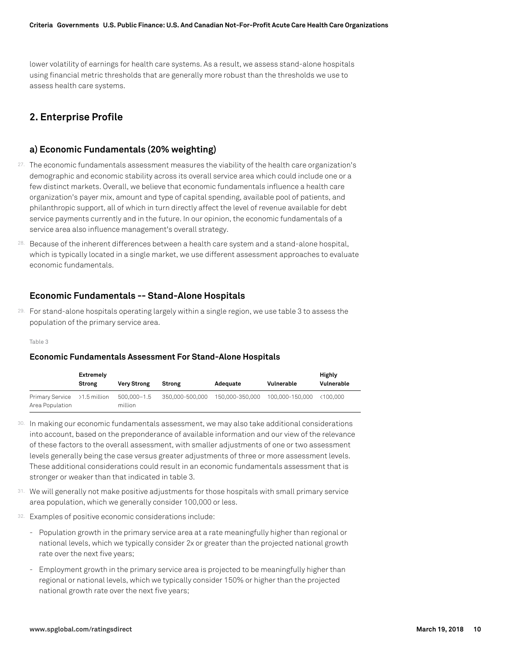lower volatility of earnings for health care systems. As a result, we assess stand-alone hospitals using financial metric thresholds that are generally more robust than the thresholds we use to assess health care systems.

# **2. Enterprise Profile**

# **a) Economic Fundamentals (20% weighting)**

- 27. The economic fundamentals assessment measures the viability of the health care organization's demographic and economic stability across its overall service area which could include one or a few distinct markets. Overall, we believe that economic fundamentals influence a health care organization's payer mix, amount and type of capital spending, available pool of patients, and philanthropic support, all of which in turn directly affect the level of revenue available for debt service payments currently and in the future. In our opinion, the economic fundamentals of a service area also influence management's overall strategy.
- 28. Because of the inherent differences between a health care system and a stand-alone hospital, which is typically located in a single market, we use different assessment approaches to evaluate economic fundamentals.

# **Economic Fundamentals -- Stand-Alone Hospitals**

29. For stand-alone hospitals operating largely within a single region, we use table 3 to assess the population of the primary service area.

#### Table 3

#### **Economic Fundamentals Assessment For Stand-Alone Hospitals**

|                                                 | Extremely<br>Strong | <b>Very Strong</b>     | Strong          | Adequate        | Vulnerable      | Highly<br>Vulnerable |
|-------------------------------------------------|---------------------|------------------------|-----------------|-----------------|-----------------|----------------------|
| Primary Service >1.5 million<br>Area Population |                     | 500.000-1.5<br>million | 350.000-500.000 | 150.000-350.000 | 100.000-150.000 | <100.000             |

- 30. In making our economic fundamentals assessment, we may also take additional considerations into account, based on the preponderance of available information and our view of the relevance of these factors to the overall assessment, with smaller adjustments of one or two assessment levels generally being the case versus greater adjustments of three or more assessment levels. These additional considerations could result in an economic fundamentals assessment that is stronger or weaker than that indicated in table 3.
- 31. We will generally not make positive adjustments for those hospitals with small primary service area population, which we generally consider 100,000 or less.
- 32. Examples of positive economic considerations include:
	- Population growth in the primary service area at a rate meaningfully higher than regional or national levels, which we typically consider 2x or greater than the projected national growth rate over the next five years;
	- Employment growth in the primary service area is projected to be meaningfully higher than regional or national levels, which we typically consider 150% or higher than the projected national growth rate over the next five years;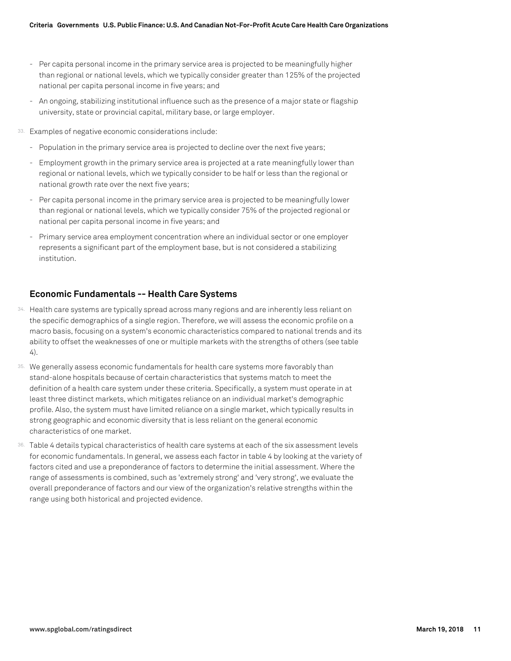- Per capita personal income in the primary service area is projected to be meaningfully higher than regional or national levels, which we typically consider greater than 125% of the projected national per capita personal income in five years; and
- An ongoing, stabilizing institutional influence such as the presence of a major state or flagship university, state or provincial capital, military base, or large employer.
- 33. Examples of negative economic considerations include:
	- Population in the primary service area is projected to decline over the next five years;
	- Employment growth in the primary service area is projected at a rate meaningfully lower than regional or national levels, which we typically consider to be half or less than the regional or national growth rate over the next five years;
	- Per capita personal income in the primary service area is projected to be meaningfully lower than regional or national levels, which we typically consider 75% of the projected regional or national per capita personal income in five years; and
	- Primary service area employment concentration where an individual sector or one employer represents a significant part of the employment base, but is not considered a stabilizing institution.

# **Economic Fundamentals -- Health Care Systems**

- 34. Health care systems are typically spread across many regions and are inherently less reliant on the specific demographics of a single region. Therefore, we will assess the economic profile on a macro basis, focusing on a system's economic characteristics compared to national trends and its ability to offset the weaknesses of one or multiple markets with the strengths of others (see table 4).
- 35. We generally assess economic fundamentals for health care systems more favorably than stand-alone hospitals because of certain characteristics that systems match to meet the definition of a health care system under these criteria. Specifically, a system must operate in at least three distinct markets, which mitigates reliance on an individual market's demographic profile. Also, the system must have limited reliance on a single market, which typically results in strong geographic and economic diversity that is less reliant on the general economic characteristics of one market.
- 36. Table 4 details typical characteristics of health care systems at each of the six assessment levels for economic fundamentals. In general, we assess each factor in table 4 by looking at the variety of factors cited and use a preponderance of factors to determine the initial assessment. Where the range of assessments is combined, such as 'extremely strong' and 'very strong', we evaluate the overall preponderance of factors and our view of the organization's relative strengths within the range using both historical and projected evidence.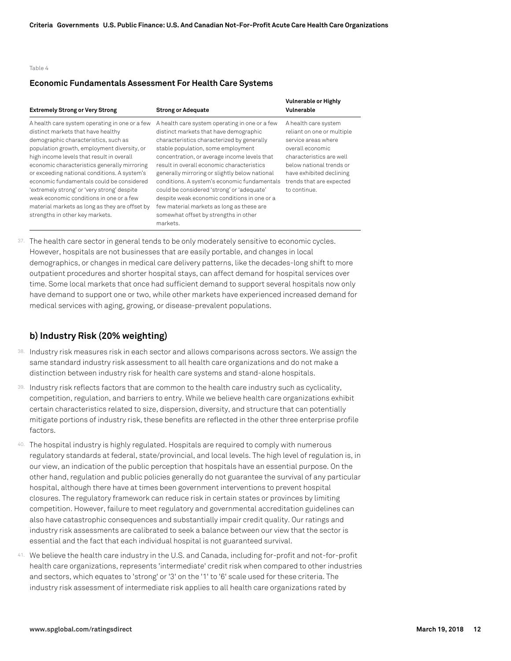#### Table 4

#### **Economic Fundamentals Assessment For Health Care Systems**

| <b>Extremely Strong or Very Strong</b>                                                                                                                                                                                                                                                                                                                                                                                                                                                                                                                | <b>Strong or Adequate</b>                                                                                                                                                                                                                                                                                                                                                                                                                                                                                                                                                    | Vulnerable or Highly<br>Vulnerable                                                                                                                                                                                            |
|-------------------------------------------------------------------------------------------------------------------------------------------------------------------------------------------------------------------------------------------------------------------------------------------------------------------------------------------------------------------------------------------------------------------------------------------------------------------------------------------------------------------------------------------------------|------------------------------------------------------------------------------------------------------------------------------------------------------------------------------------------------------------------------------------------------------------------------------------------------------------------------------------------------------------------------------------------------------------------------------------------------------------------------------------------------------------------------------------------------------------------------------|-------------------------------------------------------------------------------------------------------------------------------------------------------------------------------------------------------------------------------|
| A health care system operating in one or a few<br>distinct markets that have healthy<br>demographic characteristics, such as<br>population growth, employment diversity, or<br>high income levels that result in overall<br>economic characteristics generally mirroring<br>or exceeding national conditions. A system's<br>economic fundamentals could be considered<br>'extremely strong' or 'very strong' despite<br>weak economic conditions in one or a few<br>material markets as long as they are offset by<br>strengths in other key markets. | A health care system operating in one or a few<br>distinct markets that have demographic<br>characteristics characterized by generally<br>stable population, some employment<br>concentration, or average income levels that<br>result in overall economic characteristics<br>generally mirroring or slightly below national<br>conditions. A system's economic fundamentals<br>could be considered 'strong' or 'adequate'<br>despite weak economic conditions in one or a<br>few material markets as long as these are<br>somewhat offset by strengths in other<br>markets. | A health care system<br>reliant on one or multiple<br>service areas where<br>overall economic<br>characteristics are well<br>below national trends or<br>have exhibited declining<br>trends that are expected<br>to continue. |

37. The health care sector in general tends to be only moderately sensitive to economic cycles. However, hospitals are not businesses that are easily portable, and changes in local demographics, or changes in medical care delivery patterns, like the decades-long shift to more outpatient procedures and shorter hospital stays, can affect demand for hospital services over time. Some local markets that once had sufficient demand to support several hospitals now only have demand to support one or two, while other markets have experienced increased demand for medical services with aging, growing, or disease-prevalent populations.

# **b) Industry Risk (20% weighting)**

- 38. Industry risk measures risk in each sector and allows comparisons across sectors. We assign the same standard industry risk assessment to all health care organizations and do not make a distinction between industry risk for health care systems and stand-alone hospitals.
- 39. Industry risk reflects factors that are common to the health care industry such as cyclicality, competition, regulation, and barriers to entry. While we believe health care organizations exhibit certain characteristics related to size, dispersion, diversity, and structure that can potentially mitigate portions of industry risk, these benefits are reflected in the other three enterprise profile factors.
- 40. The hospital industry is highly regulated. Hospitals are required to comply with numerous regulatory standards at federal, state/provincial, and local levels. The high level of regulation is, in our view, an indication of the public perception that hospitals have an essential purpose. On the other hand, regulation and public policies generally do not guarantee the survival of any particular hospital, although there have at times been government interventions to prevent hospital closures. The regulatory framework can reduce risk in certain states or provinces by limiting competition. However, failure to meet regulatory and governmental accreditation guidelines can also have catastrophic consequences and substantially impair credit quality. Our ratings and industry risk assessments are calibrated to seek a balance between our view that the sector is essential and the fact that each individual hospital is not guaranteed survival.
- 41. We believe the health care industry in the U.S. and Canada, including for-profit and not-for-profit health care organizations, represents 'intermediate' credit risk when compared to other industries and sectors, which equates to 'strong' or '3' on the '1' to '6' scale used for these criteria. The industry risk assessment of intermediate risk applies to all health care organizations rated by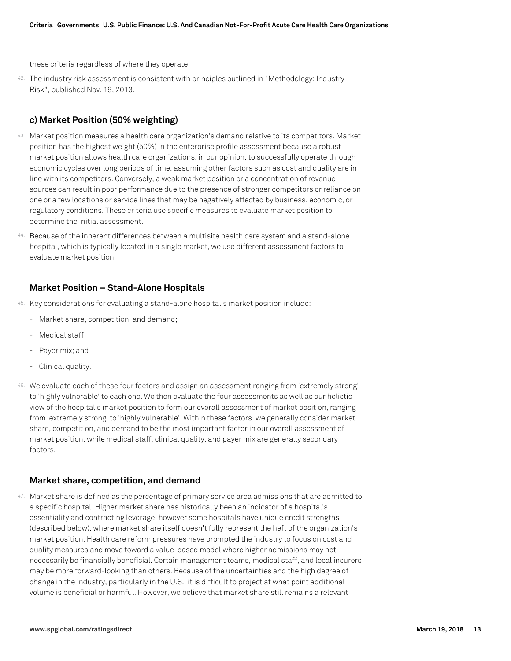these criteria regardless of where they operate.

42. The industry risk assessment is consistent with principles outlined in "Methodology: Industry Risk", published Nov. 19, 2013.

# **c) Market Position (50% weighting)**

- 43. Market position measures a health care organization's demand relative to its competitors. Market position has the highest weight (50%) in the enterprise profile assessment because a robust market position allows health care organizations, in our opinion, to successfully operate through economic cycles over long periods of time, assuming other factors such as cost and quality are in line with its competitors. Conversely, a weak market position or a concentration of revenue sources can result in poor performance due to the presence of stronger competitors or reliance on one or a few locations or service lines that may be negatively affected by business, economic, or regulatory conditions. These criteria use specific measures to evaluate market position to determine the initial assessment.
- 44. Because of the inherent differences between a multisite health care system and a stand-alone hospital, which is typically located in a single market, we use different assessment factors to evaluate market position.

# **Market Position – Stand-Alone Hospitals**

- 45. Key considerations for evaluating a stand-alone hospital's market position include:
	- Market share, competition, and demand;
	- Medical staff:
	- Payer mix; and
	- Clinical quality.
- 46. We evaluate each of these four factors and assign an assessment ranging from 'extremely strong' to 'highly vulnerable' to each one. We then evaluate the four assessments as well as our holistic view of the hospital's market position to form our overall assessment of market position, ranging from 'extremely strong' to 'highly vulnerable'. Within these factors, we generally consider market share, competition, and demand to be the most important factor in our overall assessment of market position, while medical staff, clinical quality, and payer mix are generally secondary factors.

# **Market share, competition, and demand**

47. Market share is defined as the percentage of primary service area admissions that are admitted to a specific hospital. Higher market share has historically been an indicator of a hospital's essentiality and contracting leverage, however some hospitals have unique credit strengths (described below), where market share itself doesn't fully represent the heft of the organization's market position. Health care reform pressures have prompted the industry to focus on cost and quality measures and move toward a value-based model where higher admissions may not necessarily be financially beneficial. Certain management teams, medical staff, and local insurers may be more forward-looking than others. Because of the uncertainties and the high degree of change in the industry, particularly in the U.S., it is difficult to project at what point additional volume is beneficial or harmful. However, we believe that market share still remains a relevant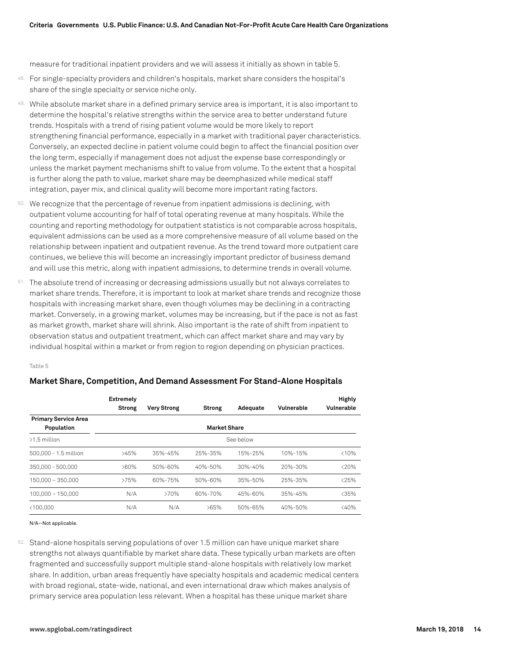measure for traditional inpatient providers and we will assess it initially as shown in table 5.

- 48. For single-specialty providers and children's hospitals, market share considers the hospital's share of the single specialty or service niche only.
- 49. While absolute market share in a defined primary service area is important, it is also important to determine the hospital's relative strengths within the service area to better understand future trends. Hospitals with a trend of rising patient volume would be more likely to report strengthening financial performance, especially in a market with traditional payer characteristics. Conversely, an expected decline in patient volume could begin to affect the financial position over the long term, especially if management does not adjust the expense base correspondingly or unless the market payment mechanisms shift to value from volume. To the extent that a hospital is further along the path to value, market share may be deemphasized while medical staff integration, payer mix, and clinical quality will become more important rating factors.
- 50. We recognize that the percentage of revenue from inpatient admissions is declining, with outpatient volume accounting for half of total operating revenue at many hospitals. While the counting and reporting methodology for outpatient statistics is not comparable across hospitals, equivalent admissions can be used as a more comprehensive measure of all volume based on the relationship between inpatient and outpatient revenue. As the trend toward more outpatient care continues, we believe this will become an increasingly important predictor of business demand and will use this metric, along with inpatient admissions, to determine trends in overall volume.
- 51. The absolute trend of increasing or decreasing admissions usually but not always correlates to market share trends. Therefore, it is important to look at market share trends and recognize those hospitals with increasing market share, even though volumes may be declining in a contracting market. Conversely, in a growing market, volumes may be increasing, but if the pace is not as fast as market growth, market share will shrink. Also important is the rate of shift from inpatient to observation status and outpatient treatment, which can affect market share and may vary by individual hospital within a market or from region to region depending on physician practices.

Table 5

#### **Market Share, Competition, And Demand Assessment For Stand-Alone Hospitals**

|                                           | <b>Extremely</b><br>Strong | <b>Very Strong</b> | Strong              | Adequate  | Vulnerable | <b>Highly</b><br>Vulnerable |
|-------------------------------------------|----------------------------|--------------------|---------------------|-----------|------------|-----------------------------|
| <b>Primary Service Area</b><br>Population |                            |                    | <b>Market Share</b> |           |            |                             |
| $>1.5$ million                            |                            |                    |                     | See below |            |                             |
| 500,000 - 1.5 million                     | >45%                       | $35% - 45%$        | 25%-35%             | 15%-25%   | 10%-15%    | < 10%                       |
| 350,000 - 500,000                         | $>60\%$                    | 50%-60%            | 40%-50%             | 30%-40%   | 20%-30%    | < 20%                       |
| 150.000 - 350.000                         | >75%                       | 60%-75%            | 50%-60%             | 35%-50%   | 25%-35%    | < 25%                       |
| $100.000 - 150.000$                       | N/A                        | >70%               | 60%-70%             | 45%-60%   | 35%-45%    | < 35%                       |
| < 100.000                                 | N/A                        | N/A                | >65%                | 50%-65%   | 40%-50%    | < 40%                       |

N/A--Not applicable.

52. Stand-alone hospitals serving populations of over 1.5 million can have unique market share strengths not always quantifiable by market share data. These typically urban markets are often fragmented and successfully support multiple stand-alone hospitals with relatively low market share. In addition, urban areas frequently have specialty hospitals and academic medical centers with broad regional, state-wide, national, and even international draw which makes analysis of primary service area population less relevant. When a hospital has these unique market share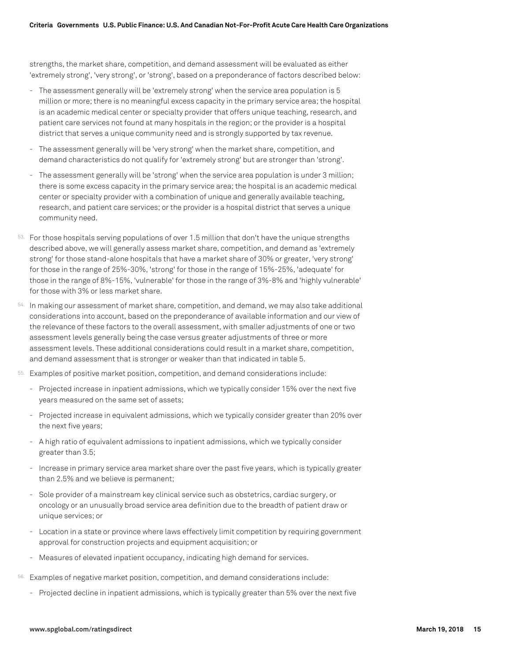strengths, the market share, competition, and demand assessment will be evaluated as either 'extremely strong', 'very strong', or 'strong', based on a preponderance of factors described below:

- The assessment generally will be 'extremely strong' when the service area population is 5 million or more; there is no meaningful excess capacity in the primary service area; the hospital is an academic medical center or specialty provider that offers unique teaching, research, and patient care services not found at many hospitals in the region; or the provider is a hospital district that serves a unique community need and is strongly supported by tax revenue.
- The assessment generally will be 'very strong' when the market share, competition, and demand characteristics do not qualify for 'extremely strong' but are stronger than 'strong'.
- The assessment generally will be 'strong' when the service area population is under 3 million; there is some excess capacity in the primary service area; the hospital is an academic medical center or specialty provider with a combination of unique and generally available teaching, research, and patient care services; or the provider is a hospital district that serves a unique community need.
- 53. For those hospitals serving populations of over 1.5 million that don't have the unique strengths described above, we will generally assess market share, competition, and demand as 'extremely strong' for those stand-alone hospitals that have a market share of 30% or greater, 'very strong' for those in the range of 25%-30%, 'strong' for those in the range of 15%-25%, 'adequate' for those in the range of 8%-15%, 'vulnerable' for those in the range of 3%-8% and 'highly vulnerable' for those with 3% or less market share.
- 54. In making our assessment of market share, competition, and demand, we may also take additional considerations into account, based on the preponderance of available information and our view of the relevance of these factors to the overall assessment, with smaller adjustments of one or two assessment levels generally being the case versus greater adjustments of three or more assessment levels. These additional considerations could result in a market share, competition, and demand assessment that is stronger or weaker than that indicated in table 5.
- 55. Examples of positive market position, competition, and demand considerations include:
	- Projected increase in inpatient admissions, which we typically consider 15% over the next five years measured on the same set of assets;
	- Projected increase in equivalent admissions, which we typically consider greater than 20% over the next five years;
	- A high ratio of equivalent admissions to inpatient admissions, which we typically consider greater than 3.5;
	- Increase in primary service area market share over the past five years, which is typically greater than 2.5% and we believe is permanent;
	- Sole provider of a mainstream key clinical service such as obstetrics, cardiac surgery, or oncology or an unusually broad service area definition due to the breadth of patient draw or unique services; or
	- Location in a state or province where laws effectively limit competition by requiring government approval for construction projects and equipment acquisition; or
	- Measures of elevated inpatient occupancy, indicating high demand for services.
- 56. Examples of negative market position, competition, and demand considerations include:
	- Projected decline in inpatient admissions, which is typically greater than 5% over the next five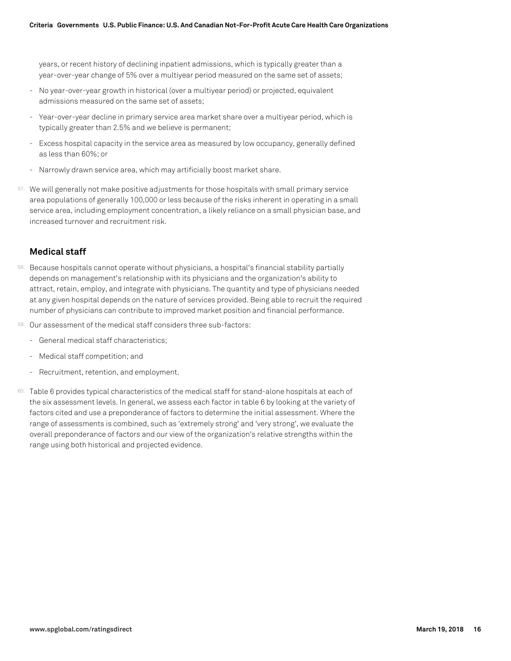years, or recent history of declining inpatient admissions, which is typically greater than a year-over-year change of 5% over a multiyear period measured on the same set of assets;

- No year-over-year growth in historical (over a multiyear period) or projected, equivalent admissions measured on the same set of assets;
- Year-over-year decline in primary service area market share over a multiyear period, which is typically greater than 2.5% and we believe is permanent;
- Excess hospital capacity in the service area as measured by low occupancy, generally defined as less than 60%; or
- Narrowly drawn service area, which may artificially boost market share.
- 57. We will generally not make positive adjustments for those hospitals with small primary service area populations of generally 100,000 or less because of the risks inherent in operating in a small service area, including employment concentration, a likely reliance on a small physician base, and increased turnover and recruitment risk.

# **Medical staff**

- 58. Because hospitals cannot operate without physicians, a hospital's financial stability partially depends on management's relationship with its physicians and the organization's ability to attract, retain, employ, and integrate with physicians. The quantity and type of physicians needed at any given hospital depends on the nature of services provided. Being able to recruit the required number of physicians can contribute to improved market position and financial performance.
- 59. Our assessment of the medical staff considers three sub-factors:
	- General medical staff characteristics;
	- Medical staff competition; and
	- Recruitment, retention, and employment.
- 60. Table 6 provides typical characteristics of the medical staff for stand-alone hospitals at each of the six assessment levels. In general, we assess each factor in table 6 by looking at the variety of factors cited and use a preponderance of factors to determine the initial assessment. Where the range of assessments is combined, such as 'extremely strong' and 'very strong', we evaluate the overall preponderance of factors and our view of the organization's relative strengths within the range using both historical and projected evidence.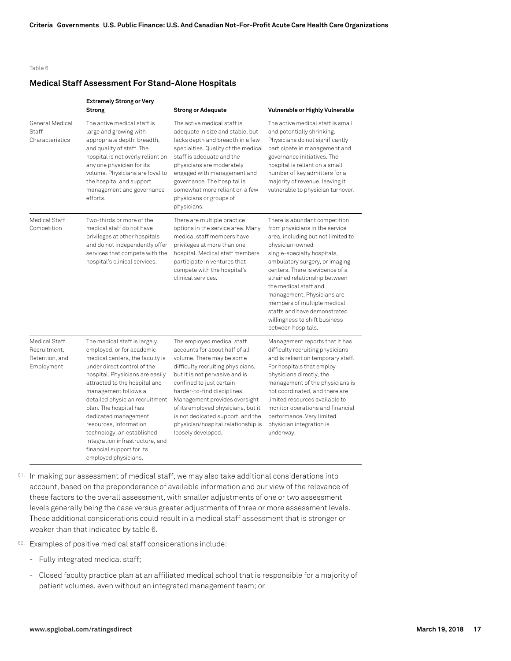#### Table 6

#### **Medical Staff Assessment For Stand-Alone Hospitals**

|                                                               | <b>Extremely Strong or Very</b><br>Strong                                                                                                                                                                                                                                                                                                                                                                                                                   | <b>Strong or Adequate</b>                                                                                                                                                                                                                                                                                                                                                                           | Vulnerable or Highly Vulnerable                                                                                                                                                                                                                                                                                                                                                                                                            |
|---------------------------------------------------------------|-------------------------------------------------------------------------------------------------------------------------------------------------------------------------------------------------------------------------------------------------------------------------------------------------------------------------------------------------------------------------------------------------------------------------------------------------------------|-----------------------------------------------------------------------------------------------------------------------------------------------------------------------------------------------------------------------------------------------------------------------------------------------------------------------------------------------------------------------------------------------------|--------------------------------------------------------------------------------------------------------------------------------------------------------------------------------------------------------------------------------------------------------------------------------------------------------------------------------------------------------------------------------------------------------------------------------------------|
| General Medical<br>Staff<br>Characteristics                   | The active medical staff is<br>large and growing with<br>appropriate depth, breadth,<br>and quality of staff. The<br>hospital is not overly reliant on<br>any one physician for its<br>volume. Physicians are loyal to<br>the hospital and support<br>management and governance<br>efforts.                                                                                                                                                                 | The active medical staff is<br>adequate in size and stable, but<br>lacks depth and breadth in a few<br>specialties. Quality of the medical<br>staff is adequate and the<br>physicians are moderately<br>engaged with management and<br>governance. The hospital is<br>somewhat more reliant on a few<br>physicians or groups of<br>physicians.                                                      | The active medical staff is small<br>and potentially shrinking.<br>Physicians do not significantly<br>participate in management and<br>governance initiatives. The<br>hospital is reliant on a small<br>number of key admitters for a<br>majority of revenue, leaving it<br>vulnerable to physician turnover.                                                                                                                              |
| Medical Staff<br>Competition                                  | Two-thirds or more of the<br>medical staff do not have<br>privileges at other hospitals<br>and do not independently offer<br>services that compete with the<br>hospital's clinical services.                                                                                                                                                                                                                                                                | There are multiple practice<br>options in the service area. Many<br>medical staff members have<br>privileges at more than one<br>hospital. Medical staff members<br>participate in ventures that<br>compete with the hospital's<br>clinical services.                                                                                                                                               | There is abundant competition<br>from physicians in the service<br>area, including but not limited to<br>physician-owned<br>single-specialty hospitals,<br>ambulatory surgery, or imaging<br>centers. There is evidence of a<br>strained relationship between<br>the medical staff and<br>management. Physicians are<br>members of multiple medical<br>staffs and have demonstrated<br>willingness to shift business<br>between hospitals. |
| Medical Staff<br>Recruitment,<br>Retention, and<br>Employment | The medical staff is largely<br>employed, or for academic<br>medical centers, the faculty is<br>under direct control of the<br>hospital. Physicians are easily<br>attracted to the hospital and<br>management follows a<br>detailed physician recruitment<br>plan. The hospital has<br>dedicated management<br>resources, information<br>technology, an established<br>integration infrastructure, and<br>financial support for its<br>employed physicians. | The employed medical staff<br>accounts for about half of all<br>volume. There may be some<br>difficulty recruiting physicians,<br>but it is not pervasive and is<br>confined to just certain<br>harder-to-find disciplines.<br>Management provides oversight<br>of its employed physicians, but it<br>is not dedicated support, and the<br>physician/hospital relationship is<br>loosely developed. | Management reports that it has<br>difficulty recruiting physicians<br>and is reliant on temporary staff.<br>For hospitals that employ<br>physicians directly, the<br>management of the physicians is<br>not coordinated, and there are<br>limited resources available to<br>monitor operations and financial<br>performance. Very limited<br>physician integration is<br>underway.                                                         |

61. In making our assessment of medical staff, we may also take additional considerations into account, based on the preponderance of available information and our view of the relevance of these factors to the overall assessment, with smaller adjustments of one or two assessment levels generally being the case versus greater adjustments of three or more assessment levels. These additional considerations could result in a medical staff assessment that is stronger or weaker than that indicated by table 6.

62. Examples of positive medical staff considerations include:

- Fully integrated medical staff;
- Closed faculty practice plan at an affiliated medical school that is responsible for a majority of patient volumes, even without an integrated management team; or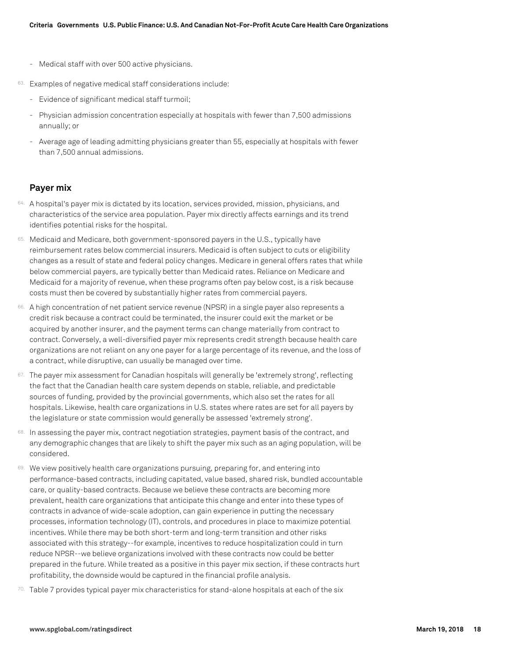- Medical staff with over 500 active physicians.
- 63. Examples of negative medical staff considerations include:
	- Evidence of significant medical staff turmoil;
	- Physician admission concentration especially at hospitals with fewer than 7,500 admissions annually; or
	- Average age of leading admitting physicians greater than 55, especially at hospitals with fewer than 7,500 annual admissions.

# **Payer mix**

- 64. A hospital's payer mix is dictated by its location, services provided, mission, physicians, and characteristics of the service area population. Payer mix directly affects earnings and its trend identifies potential risks for the hospital.
- 65. Medicaid and Medicare, both government-sponsored payers in the U.S., typically have reimbursement rates below commercial insurers. Medicaid is often subject to cuts or eligibility changes as a result of state and federal policy changes. Medicare in general offers rates that while below commercial payers, are typically better than Medicaid rates. Reliance on Medicare and Medicaid for a majority of revenue, when these programs often pay below cost, is a risk because costs must then be covered by substantially higher rates from commercial payers.
- 66. A high concentration of net patient service revenue (NPSR) in a single payer also represents a credit risk because a contract could be terminated, the insurer could exit the market or be acquired by another insurer, and the payment terms can change materially from contract to contract. Conversely, a well-diversified payer mix represents credit strength because health care organizations are not reliant on any one payer for a large percentage of its revenue, and the loss of a contract, while disruptive, can usually be managed over time.
- 67. The payer mix assessment for Canadian hospitals will generally be 'extremely strong', reflecting the fact that the Canadian health care system depends on stable, reliable, and predictable sources of funding, provided by the provincial governments, which also set the rates for all hospitals. Likewise, health care organizations in U.S. states where rates are set for all payers by the legislature or state commission would generally be assessed 'extremely strong'.
- 68. In assessing the payer mix, contract negotiation strategies, payment basis of the contract, and any demographic changes that are likely to shift the payer mix such as an aging population, will be considered.
- 69. We view positively health care organizations pursuing, preparing for, and entering into performance-based contracts, including capitated, value based, shared risk, bundled accountable care, or quality-based contracts. Because we believe these contracts are becoming more prevalent, health care organizations that anticipate this change and enter into these types of contracts in advance of wide-scale adoption, can gain experience in putting the necessary processes, information technology (IT), controls, and procedures in place to maximize potential incentives. While there may be both short-term and long-term transition and other risks associated with this strategy--for example, incentives to reduce hospitalization could in turn reduce NPSR--we believe organizations involved with these contracts now could be better prepared in the future. While treated as a positive in this payer mix section, if these contracts hurt profitability, the downside would be captured in the financial profile analysis.
- 70. Table 7 provides typical payer mix characteristics for stand-alone hospitals at each of the six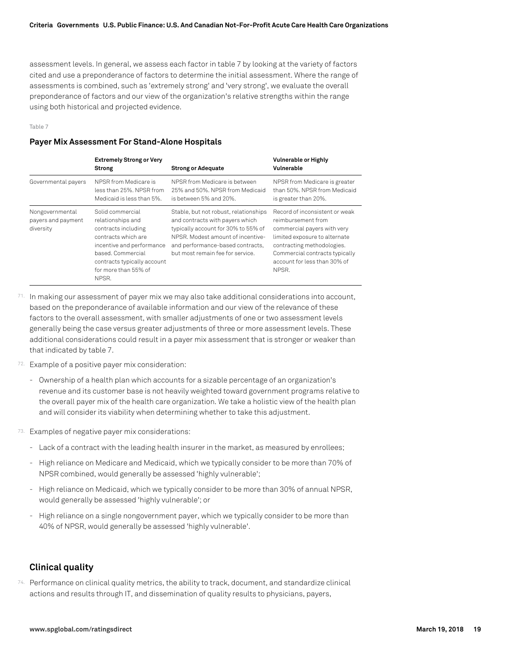assessment levels. In general, we assess each factor in table 7 by looking at the variety of factors cited and use a preponderance of factors to determine the initial assessment. Where the range of assessments is combined, such as 'extremely strong' and 'very strong', we evaluate the overall preponderance of factors and our view of the organization's relative strengths within the range using both historical and projected evidence.

Table 7

# **Payer Mix Assessment For Stand-Alone Hospitals**

|                                                    | <b>Extremely Strong or Very</b><br><b>Strong</b>                                                                                                                                                      | <b>Strong or Adequate</b>                                                                                                                                                                                                    | Vulnerable or Highly<br>Vulnerable                                                                                                                                                                                            |
|----------------------------------------------------|-------------------------------------------------------------------------------------------------------------------------------------------------------------------------------------------------------|------------------------------------------------------------------------------------------------------------------------------------------------------------------------------------------------------------------------------|-------------------------------------------------------------------------------------------------------------------------------------------------------------------------------------------------------------------------------|
| Governmental payers                                | NPSR from Medicare is<br>less than 25%. NPSR from<br>Medicaid is less than 5%.                                                                                                                        | NPSR from Medicare is between<br>25% and 50%. NPSR from Medicaid<br>is between 5% and 20%.                                                                                                                                   | NPSR from Medicare is greater<br>than 50%. NPSR from Medicaid<br>is greater than 20%.                                                                                                                                         |
| Nongovernmental<br>payers and payment<br>diversity | Solid commercial<br>relationships and<br>contracts including<br>contracts which are<br>incentive and performance<br>based, Commercial<br>contracts typically account<br>for more than 55% of<br>NPSR. | Stable, but not robust, relationships<br>and contracts with payers which<br>typically account for 30% to 55% of<br>NPSR. Modest amount of incentive-<br>and performance-based contracts,<br>but most remain fee for service. | Record of inconsistent or weak<br>reimbursement from<br>commercial payers with very<br>limited exposure to alternate<br>contracting methodologies.<br>Commercial contracts typically<br>account for less than 30% of<br>NPSR. |

- 71. In making our assessment of payer mix we may also take additional considerations into account, based on the preponderance of available information and our view of the relevance of these factors to the overall assessment, with smaller adjustments of one or two assessment levels generally being the case versus greater adjustments of three or more assessment levels. These additional considerations could result in a payer mix assessment that is stronger or weaker than that indicated by table 7.
- 72. Example of a positive payer mix consideration:
	- Ownership of a health plan which accounts for a sizable percentage of an organization's revenue and its customer base is not heavily weighted toward government programs relative to the overall payer mix of the health care organization. We take a holistic view of the health plan and will consider its viability when determining whether to take this adjustment.
- 73. Examples of negative payer mix considerations:
	- Lack of a contract with the leading health insurer in the market, as measured by enrollees;
	- High reliance on Medicare and Medicaid, which we typically consider to be more than 70% of NPSR combined, would generally be assessed 'highly vulnerable';
	- High reliance on Medicaid, which we typically consider to be more than 30% of annual NPSR, would generally be assessed 'highly vulnerable'; or
	- High reliance on a single nongovernment payer, which we typically consider to be more than 40% of NPSR, would generally be assessed 'highly vulnerable'.

# **Clinical quality**

74. Performance on clinical quality metrics, the ability to track, document, and standardize clinical actions and results through IT, and dissemination of quality results to physicians, payers,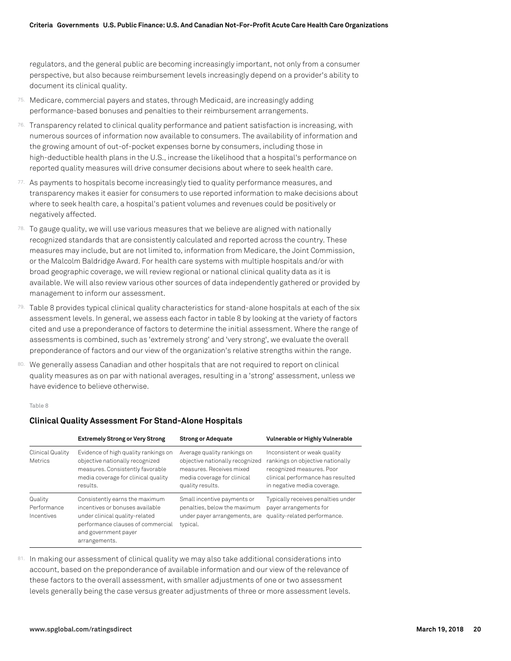regulators, and the general public are becoming increasingly important, not only from a consumer perspective, but also because reimbursement levels increasingly depend on a provider's ability to document its clinical quality.

- 75. Medicare, commercial payers and states, through Medicaid, are increasingly adding performance-based bonuses and penalties to their reimbursement arrangements.
- $76.$  Transparency related to clinical quality performance and patient satisfaction is increasing, with numerous sources of information now available to consumers. The availability of information and the growing amount of out-of-pocket expenses borne by consumers, including those in high-deductible health plans in the U.S., increase the likelihood that a hospital's performance on reported quality measures will drive consumer decisions about where to seek health care.
- 77. As payments to hospitals become increasingly tied to quality performance measures, and transparency makes it easier for consumers to use reported information to make decisions about where to seek health care, a hospital's patient volumes and revenues could be positively or negatively affected.
- $78.$  To gauge quality, we will use various measures that we believe are aligned with nationally recognized standards that are consistently calculated and reported across the country. These measures may include, but are not limited to, information from Medicare, the Joint Commission, or the Malcolm Baldridge Award. For health care systems with multiple hospitals and/or with broad geographic coverage, we will review regional or national clinical quality data as it is available. We will also review various other sources of data independently gathered or provided by management to inform our assessment.
- 79. Table 8 provides typical clinical quality characteristics for stand-alone hospitals at each of the six assessment levels. In general, we assess each factor in table 8 by looking at the variety of factors cited and use a preponderance of factors to determine the initial assessment. Where the range of assessments is combined, such as 'extremely strong' and 'very strong', we evaluate the overall preponderance of factors and our view of the organization's relative strengths within the range.
- 80. We generally assess Canadian and other hospitals that are not required to report on clinical quality measures as on par with national averages, resulting in a 'strong' assessment, unless we have evidence to believe otherwise.

#### Table 8

|                                      | <b>Extremely Strong or Very Strong</b>                                                                                                                                            | <b>Strong or Adequate</b>                                                                                                                     | Vulnerable or Highly Vulnerable                                                                                                                                   |
|--------------------------------------|-----------------------------------------------------------------------------------------------------------------------------------------------------------------------------------|-----------------------------------------------------------------------------------------------------------------------------------------------|-------------------------------------------------------------------------------------------------------------------------------------------------------------------|
| Clinical Quality<br><b>Metrics</b>   | Evidence of high quality rankings on<br>objective nationally recognized<br>measures. Consistently favorable<br>media coverage for clinical quality<br>results.                    | Average quality rankings on<br>objective nationally recognized<br>measures. Receives mixed<br>media coverage for clinical<br>quality results. | Inconsistent or weak quality<br>rankings on objective nationally<br>recognized measures. Poor<br>clinical performance has resulted<br>in negative media coverage. |
| Quality<br>Performance<br>Incentives | Consistently earns the maximum<br>incentives or bonuses available<br>under clinical quality-related<br>performance clauses of commercial<br>and government payer<br>arrangements. | Small incentive payments or<br>penalties, below the maximum<br>under payer arrangements, are<br>typical.                                      | Typically receives penalties under<br>payer arrangements for<br>quality-related performance.                                                                      |

#### **Clinical Quality Assessment For Stand-Alone Hospitals**

81. In making our assessment of clinical quality we may also take additional considerations into account, based on the preponderance of available information and our view of the relevance of these factors to the overall assessment, with smaller adjustments of one or two assessment levels generally being the case versus greater adjustments of three or more assessment levels.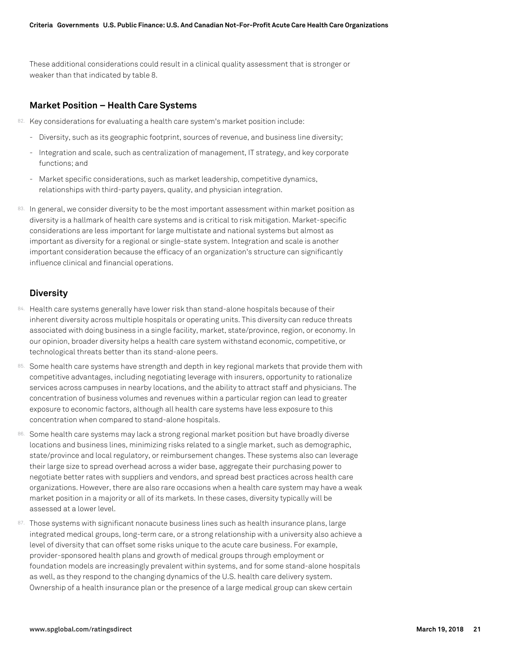These additional considerations could result in a clinical quality assessment that is stronger or weaker than that indicated by table 8.

# **Market Position – Health Care Systems**

- 82. Key considerations for evaluating a health care system's market position include:
	- Diversity, such as its geographic footprint, sources of revenue, and business line diversity;
	- Integration and scale, such as centralization of management, IT strategy, and key corporate functions; and
	- Market specific considerations, such as market leadership, competitive dynamics, relationships with third-party payers, quality, and physician integration.
- 83. In general, we consider diversity to be the most important assessment within market position as diversity is a hallmark of health care systems and is critical to risk mitigation. Market-specific considerations are less important for large multistate and national systems but almost as important as diversity for a regional or single-state system. Integration and scale is another important consideration because the efficacy of an organization's structure can significantly influence clinical and financial operations.

# **Diversity**

- 84. Health care systems generally have lower risk than stand-alone hospitals because of their inherent diversity across multiple hospitals or operating units. This diversity can reduce threats associated with doing business in a single facility, market, state/province, region, or economy. In our opinion, broader diversity helps a health care system withstand economic, competitive, or technological threats better than its stand-alone peers.
- 85. Some health care systems have strength and depth in key regional markets that provide them with competitive advantages, including negotiating leverage with insurers, opportunity to rationalize services across campuses in nearby locations, and the ability to attract staff and physicians. The concentration of business volumes and revenues within a particular region can lead to greater exposure to economic factors, although all health care systems have less exposure to this concentration when compared to stand-alone hospitals.
- 86. Some health care systems may lack a strong regional market position but have broadly diverse locations and business lines, minimizing risks related to a single market, such as demographic, state/province and local regulatory, or reimbursement changes. These systems also can leverage their large size to spread overhead across a wider base, aggregate their purchasing power to negotiate better rates with suppliers and vendors, and spread best practices across health care organizations. However, there are also rare occasions when a health care system may have a weak market position in a majority or all of its markets. In these cases, diversity typically will be assessed at a lower level.
- 87. Those systems with significant nonacute business lines such as health insurance plans, large integrated medical groups, long-term care, or a strong relationship with a university also achieve a level of diversity that can offset some risks unique to the acute care business. For example, provider-sponsored health plans and growth of medical groups through employment or foundation models are increasingly prevalent within systems, and for some stand-alone hospitals as well, as they respond to the changing dynamics of the U.S. health care delivery system. Ownership of a health insurance plan or the presence of a large medical group can skew certain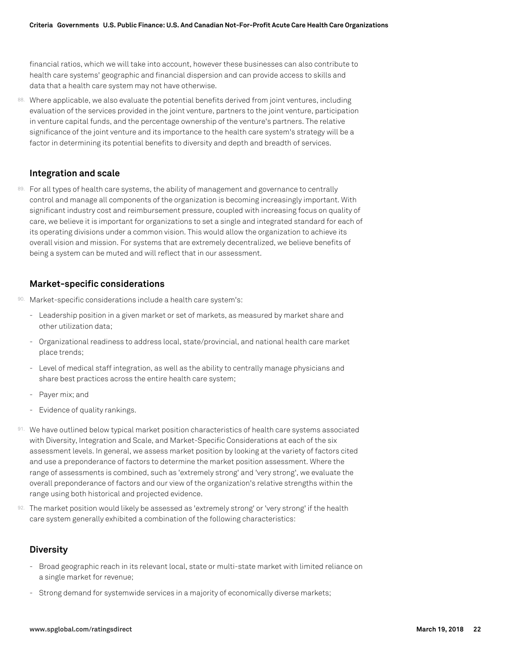financial ratios, which we will take into account, however these businesses can also contribute to health care systems' geographic and financial dispersion and can provide access to skills and data that a health care system may not have otherwise.

88. Where applicable, we also evaluate the potential benefits derived from joint ventures, including evaluation of the services provided in the joint venture, partners to the joint venture, participation in venture capital funds, and the percentage ownership of the venture's partners. The relative significance of the joint venture and its importance to the health care system's strategy will be a factor in determining its potential benefits to diversity and depth and breadth of services.

# **Integration and scale**

89. For all types of health care systems, the ability of management and governance to centrally control and manage all components of the organization is becoming increasingly important. With significant industry cost and reimbursement pressure, coupled with increasing focus on quality of care, we believe it is important for organizations to set a single and integrated standard for each of its operating divisions under a common vision. This would allow the organization to achieve its overall vision and mission. For systems that are extremely decentralized, we believe benefits of being a system can be muted and will reflect that in our assessment.

# **Market-specific considerations**

- 90. Market-specific considerations include a health care system's:
	- Leadership position in a given market or set of markets, as measured by market share and other utilization data;
	- Organizational readiness to address local, state/provincial, and national health care market place trends;
	- Level of medical staff integration, as well as the ability to centrally manage physicians and share best practices across the entire health care system;
	- Payer mix; and
	- Evidence of quality rankings.
- 91. We have outlined below typical market position characteristics of health care systems associated with Diversity, Integration and Scale, and Market-Specific Considerations at each of the six assessment levels. In general, we assess market position by looking at the variety of factors cited and use a preponderance of factors to determine the market position assessment. Where the range of assessments is combined, such as 'extremely strong' and 'very strong', we evaluate the overall preponderance of factors and our view of the organization's relative strengths within the range using both historical and projected evidence.
- 92. The market position would likely be assessed as 'extremely strong' or 'very strong' if the health care system generally exhibited a combination of the following characteristics:

# **Diversity**

- Broad geographic reach in its relevant local, state or multi-state market with limited reliance on a single market for revenue;
- Strong demand for systemwide services in a majority of economically diverse markets;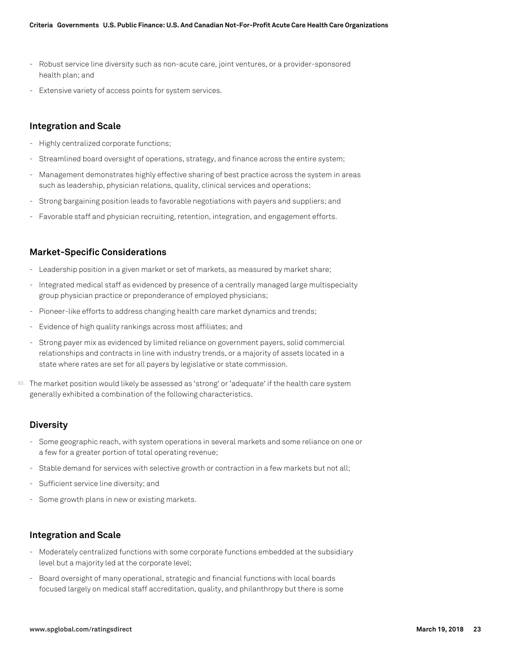- Robust service line diversity such as non-acute care, joint ventures, or a provider-sponsored health plan; and
- Extensive variety of access points for system services.

# **Integration and Scale**

- Highly centralized corporate functions;
- Streamlined board oversight of operations, strategy, and finance across the entire system;
- Management demonstrates highly effective sharing of best practice across the system in areas such as leadership, physician relations, quality, clinical services and operations;
- Strong bargaining position leads to favorable negotiations with payers and suppliers; and
- Favorable staff and physician recruiting, retention, integration, and engagement efforts.

# **Market-Specific Considerations**

- Leadership position in a given market or set of markets, as measured by market share;
- Integrated medical staff as evidenced by presence of a centrally managed large multispecialty group physician practice or preponderance of employed physicians;
- Pioneer-like efforts to address changing health care market dynamics and trends;
- Evidence of high quality rankings across most affiliates; and
- Strong payer mix as evidenced by limited reliance on government payers, solid commercial relationships and contracts in line with industry trends, or a majority of assets located in a state where rates are set for all payers by legislative or state commission.
- 93. The market position would likely be assessed as 'strong' or 'adequate' if the health care system generally exhibited a combination of the following characteristics.

### **Diversity**

- Some geographic reach, with system operations in several markets and some reliance on one or a few for a greater portion of total operating revenue;
- Stable demand for services with selective growth or contraction in a few markets but not all;
- Sufficient service line diversity; and
- Some growth plans in new or existing markets.

#### **Integration and Scale**

- Moderately centralized functions with some corporate functions embedded at the subsidiary level but a majority led at the corporate level;
- Board oversight of many operational, strategic and financial functions with local boards focused largely on medical staff accreditation, quality, and philanthropy but there is some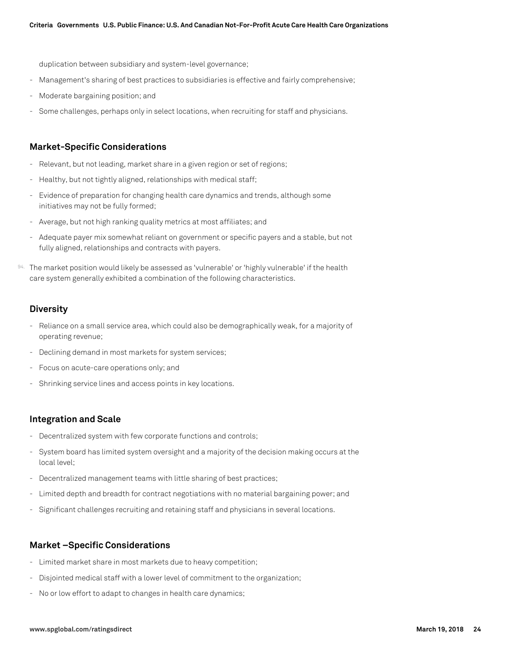duplication between subsidiary and system-level governance;

- Management's sharing of best practices to subsidiaries is effective and fairly comprehensive;
- Moderate bargaining position; and
- Some challenges, perhaps only in select locations, when recruiting for staff and physicians.

# **Market-Specific Considerations**

- Relevant, but not leading, market share in a given region or set of regions;
- Healthy, but not tightly aligned, relationships with medical staff;
- Evidence of preparation for changing health care dynamics and trends, although some initiatives may not be fully formed;
- Average, but not high ranking quality metrics at most affiliates; and
- Adequate payer mix somewhat reliant on government or specific payers and a stable, but not fully aligned, relationships and contracts with payers.
- 94. The market position would likely be assessed as 'vulnerable' or 'highly vulnerable' if the health care system generally exhibited a combination of the following characteristics.

# **Diversity**

- Reliance on a small service area, which could also be demographically weak, for a majority of operating revenue;
- Declining demand in most markets for system services;
- Focus on acute-care operations only; and
- Shrinking service lines and access points in key locations.

# **Integration and Scale**

- Decentralized system with few corporate functions and controls;
- System board has limited system oversight and a majority of the decision making occurs at the local level;
- Decentralized management teams with little sharing of best practices;
- Limited depth and breadth for contract negotiations with no material bargaining power; and
- Significant challenges recruiting and retaining staff and physicians in several locations.

# **Market –Specific Considerations**

- Limited market share in most markets due to heavy competition;
- Disjointed medical staff with a lower level of commitment to the organization;
- No or low effort to adapt to changes in health care dynamics;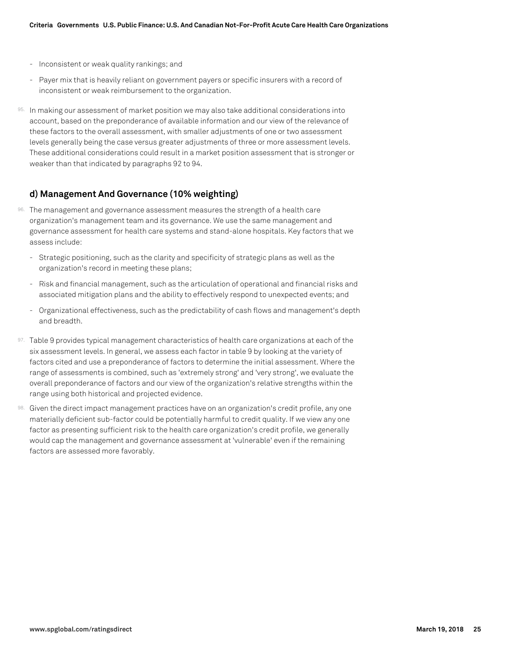- Inconsistent or weak quality rankings; and
- Payer mix that is heavily reliant on government payers or specific insurers with a record of inconsistent or weak reimbursement to the organization.
- 95. In making our assessment of market position we may also take additional considerations into account, based on the preponderance of available information and our view of the relevance of these factors to the overall assessment, with smaller adjustments of one or two assessment levels generally being the case versus greater adjustments of three or more assessment levels. These additional considerations could result in a market position assessment that is stronger or weaker than that indicated by paragraphs 92 to 94.

# **d) Management And Governance (10% weighting)**

- 96. The management and governance assessment measures the strength of a health care organization's management team and its governance. We use the same management and governance assessment for health care systems and stand-alone hospitals. Key factors that we assess include:
	- Strategic positioning, such as the clarity and specificity of strategic plans as well as the organization's record in meeting these plans;
	- Risk and financial management, such as the articulation of operational and financial risks and associated mitigation plans and the ability to effectively respond to unexpected events; and
	- Organizational effectiveness, such as the predictability of cash flows and management's depth and breadth.
- 97. Table 9 provides typical management characteristics of health care organizations at each of the six assessment levels. In general, we assess each factor in table 9 by looking at the variety of factors cited and use a preponderance of factors to determine the initial assessment. Where the range of assessments is combined, such as 'extremely strong' and 'very strong', we evaluate the overall preponderance of factors and our view of the organization's relative strengths within the range using both historical and projected evidence.
- 98. Given the direct impact management practices have on an organization's credit profile, any one materially deficient sub-factor could be potentially harmful to credit quality. If we view any one factor as presenting sufficient risk to the health care organization's credit profile, we generally would cap the management and governance assessment at 'vulnerable' even if the remaining factors are assessed more favorably.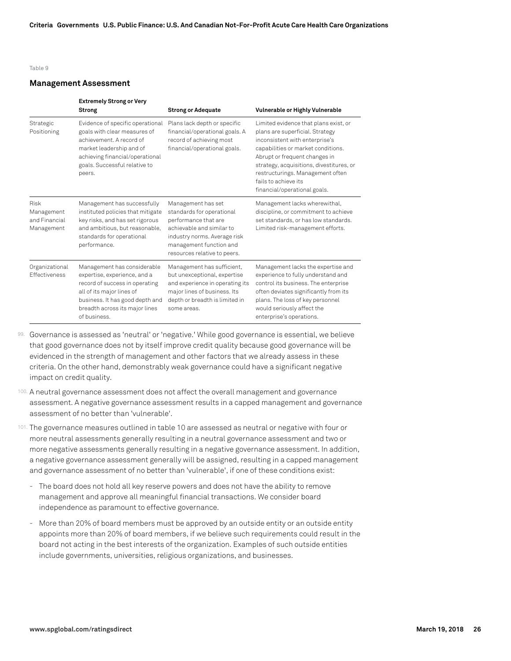#### Table 9

#### **Management Assessment**

|                                                          | <b>Extremely Strong or Very</b><br><b>Strong</b>                                                                                                                                                                | <b>Strong or Adequate</b>                                                                                                                                                                       | Vulnerable or Highly Vulnerable                                                                                                                                                                                                                                                                                           |
|----------------------------------------------------------|-----------------------------------------------------------------------------------------------------------------------------------------------------------------------------------------------------------------|-------------------------------------------------------------------------------------------------------------------------------------------------------------------------------------------------|---------------------------------------------------------------------------------------------------------------------------------------------------------------------------------------------------------------------------------------------------------------------------------------------------------------------------|
| Strategic<br>Positioning                                 | Evidence of specific operational<br>goals with clear measures of<br>achievement. A record of<br>market leadership and of<br>achieving financial/operational<br>goals. Successful relative to<br>peers.          | Plans lack depth or specific<br>financial/operational goals. A<br>record of achieving most<br>financial/operational goals.                                                                      | Limited evidence that plans exist, or<br>plans are superficial. Strategy<br>inconsistent with enterprise's<br>capabilities or market conditions.<br>Abrupt or frequent changes in<br>strategy, acquisitions, divestitures, or<br>restructurings. Management often<br>fails to achieve its<br>financial/operational goals. |
| <b>Risk</b><br>Management<br>and Financial<br>Management | Management has successfully<br>instituted policies that mitigate<br>key risks, and has set rigorous<br>and ambitious, but reasonable,<br>standards for operational<br>performance.                              | Management has set<br>standards for operational<br>performance that are<br>achievable and similar to<br>industry norms. Average risk<br>management function and<br>resources relative to peers. | Management lacks wherewithal,<br>discipline, or commitment to achieve<br>set standards, or has low standards.<br>Limited risk-management efforts.                                                                                                                                                                         |
| Organizational<br><b>Effectiveness</b>                   | Management has considerable<br>expertise, experience, and a<br>record of success in operating<br>all of its major lines of<br>business. It has good depth and<br>breadth across its major lines<br>of business. | Management has sufficient,<br>but unexceptional, expertise<br>and experience in operating its<br>major lines of business. Its<br>depth or breadth is limited in<br>some areas.                  | Management lacks the expertise and<br>experience to fully understand and<br>control its business. The enterprise<br>often deviates significantly from its<br>plans. The loss of key personnel<br>would seriously affect the<br>enterprise's operations.                                                                   |

99. Governance is assessed as 'neutral' or 'negative.' While good governance is essential, we believe that good governance does not by itself improve credit quality because good governance will be evidenced in the strength of management and other factors that we already assess in these criteria. On the other hand, demonstrably weak governance could have a significant negative impact on credit quality.

- 100. A neutral governance assessment does not affect the overall management and governance assessment. A negative governance assessment results in a capped management and governance assessment of no better than 'vulnerable'.
- 101. The governance measures outlined in table 10 are assessed as neutral or negative with four or more neutral assessments generally resulting in a neutral governance assessment and two or more negative assessments generally resulting in a negative governance assessment. In addition, a negative governance assessment generally will be assigned, resulting in a capped management and governance assessment of no better than 'vulnerable', if one of these conditions exist:
	- The board does not hold all key reserve powers and does not have the ability to remove management and approve all meaningful financial transactions. We consider board independence as paramount to effective governance.
	- More than 20% of board members must be approved by an outside entity or an outside entity appoints more than 20% of board members, if we believe such requirements could result in the board not acting in the best interests of the organization. Examples of such outside entities include governments, universities, religious organizations, and businesses.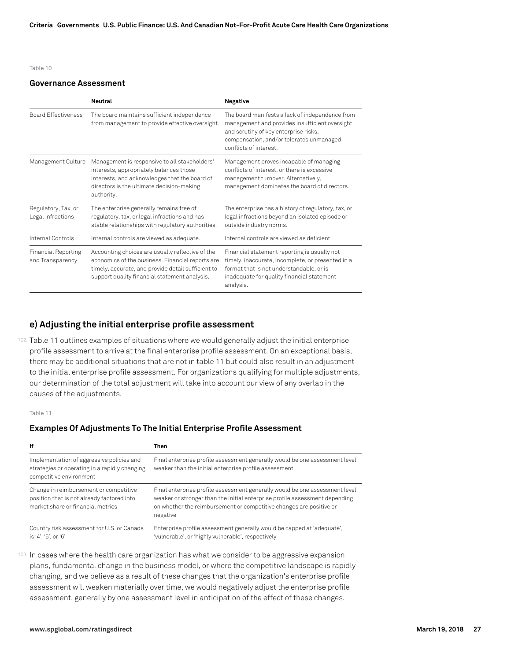#### Table 10

#### **Governance Assessment**

|                                                | <b>Neutral</b>                                                                                                                                                                                              | Negative                                                                                                                                                                                                         |
|------------------------------------------------|-------------------------------------------------------------------------------------------------------------------------------------------------------------------------------------------------------------|------------------------------------------------------------------------------------------------------------------------------------------------------------------------------------------------------------------|
| <b>Board Effectiveness</b>                     | The board maintains sufficient independence<br>from management to provide effective oversight.                                                                                                              | The board manifests a lack of independence from<br>management and provides insufficient oversight<br>and scrutiny of key enterprise risks,<br>compensation, and/or tolerates unmanaged<br>conflicts of interest. |
| Management Culture                             | Management is responsive to all stakeholders'<br>interests, appropriately balances those<br>interests, and acknowledges that the board of<br>directors is the ultimate decision-making<br>authority.        | Management proves incapable of managing<br>conflicts of interest, or there is excessive<br>management turnover. Alternatively,<br>management dominates the board of directors.                                   |
| Regulatory, Tax, or<br>Legal Infractions       | The enterprise generally remains free of<br>regulatory, tax, or legal infractions and has<br>stable relationships with regulatory authorities.                                                              | The enterprise has a history of regulatory, tax, or<br>legal infractions beyond an isolated episode or<br>outside industry norms.                                                                                |
| Internal Controls                              | Internal controls are viewed as adequate.                                                                                                                                                                   | Internal controls are viewed as deficient                                                                                                                                                                        |
| <b>Financial Reporting</b><br>and Transparency | Accounting choices are usually reflective of the<br>economics of the business. Financial reports are<br>timely, accurate, and provide detail sufficient to<br>support quality financial statement analysis. | Financial statement reporting is usually not<br>timely, inaccurate, incomplete, or presented in a<br>format that is not understandable, or is<br>inadequate for quality financial statement<br>analysis.         |

# **e) Adjusting the initial enterprise profile assessment**

102. Table 11 outlines examples of situations where we would generally adjust the initial enterprise profile assessment to arrive at the final enterprise profile assessment. On an exceptional basis, there may be additional situations that are not in table 11 but could also result in an adjustment to the initial enterprise profile assessment. For organizations qualifying for multiple adjustments, our determination of the total adjustment will take into account our view of any overlap in the causes of the adjustments.

#### Table 11

#### **Examples Of Adjustments To The Initial Enterprise Profile Assessment**

| lf                                                                                                                        | Then                                                                                                                                                                                                                                          |
|---------------------------------------------------------------------------------------------------------------------------|-----------------------------------------------------------------------------------------------------------------------------------------------------------------------------------------------------------------------------------------------|
| Implementation of aggressive policies and<br>strategies or operating in a rapidly changing<br>competitive environment     | Final enterprise profile assessment generally would be one assessment level<br>weaker than the initial enterprise profile assessment                                                                                                          |
| Change in reimbursement or competitive<br>position that is not already factored into<br>market share or financial metrics | Final enterprise profile assessment generally would be one assessment level<br>weaker or stronger than the initial enterprise profile assessment depending<br>on whether the reimbursement or competitive changes are positive or<br>negative |
| Country risk assessment for U.S. or Canada<br>is '4', '5', or '6'                                                         | Enterprise profile assessment generally would be capped at 'adequate',<br>'vulnerable', or 'highly vulnerable', respectively                                                                                                                  |

103. In cases where the health care organization has what we consider to be aggressive expansion plans, fundamental change in the business model, or where the competitive landscape is rapidly changing, and we believe as a result of these changes that the organization's enterprise profile assessment will weaken materially over time, we would negatively adjust the enterprise profile assessment, generally by one assessment level in anticipation of the effect of these changes.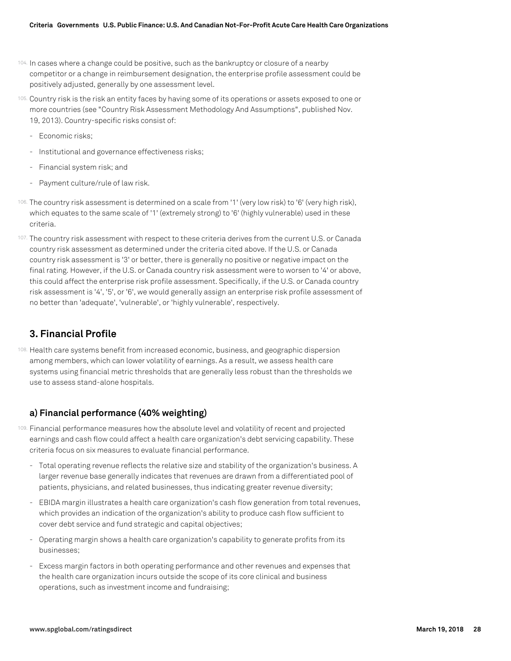- 104. In cases where a change could be positive, such as the bankruptcy or closure of a nearby competitor or a change in reimbursement designation, the enterprise profile assessment could be positively adjusted, generally by one assessment level.
- 105. Country risk is the risk an entity faces by having some of its operations or assets exposed to one or more countries (see "Country Risk Assessment Methodology And Assumptions", published Nov. 19, 2013). Country-specific risks consist of:
	- Economic risks;
	- Institutional and governance effectiveness risks;
	- Financial system risk; and
	- Payment culture/rule of law risk.
- 106. The country risk assessment is determined on a scale from '1' (very low risk) to '6' (very high risk), which equates to the same scale of '1' (extremely strong) to '6' (highly vulnerable) used in these criteria.
- 107. The country risk assessment with respect to these criteria derives from the current U.S. or Canada country risk assessment as determined under the criteria cited above. If the U.S. or Canada country risk assessment is '3' or better, there is generally no positive or negative impact on the final rating. However, if the U.S. or Canada country risk assessment were to worsen to '4' or above, this could affect the enterprise risk profile assessment. Specifically, if the U.S. or Canada country risk assessment is '4', '5', or '6', we would generally assign an enterprise risk profile assessment of no better than 'adequate', 'vulnerable', or 'highly vulnerable', respectively.

# **3. Financial Profile**

108. Health care systems benefit from increased economic, business, and geographic dispersion among members, which can lower volatility of earnings. As a result, we assess health care systems using financial metric thresholds that are generally less robust than the thresholds we use to assess stand-alone hospitals.

# **a) Financial performance (40% weighting)**

- 109. Financial performance measures how the absolute level and volatility of recent and projected earnings and cash flow could affect a health care organization's debt servicing capability. These criteria focus on six measures to evaluate financial performance.
	- Total operating revenue reflects the relative size and stability of the organization's business. A larger revenue base generally indicates that revenues are drawn from a differentiated pool of patients, physicians, and related businesses, thus indicating greater revenue diversity;
	- EBIDA margin illustrates a health care organization's cash flow generation from total revenues, which provides an indication of the organization's ability to produce cash flow sufficient to cover debt service and fund strategic and capital objectives;
	- Operating margin shows a health care organization's capability to generate profits from its businesses;
	- Excess margin factors in both operating performance and other revenues and expenses that the health care organization incurs outside the scope of its core clinical and business operations, such as investment income and fundraising;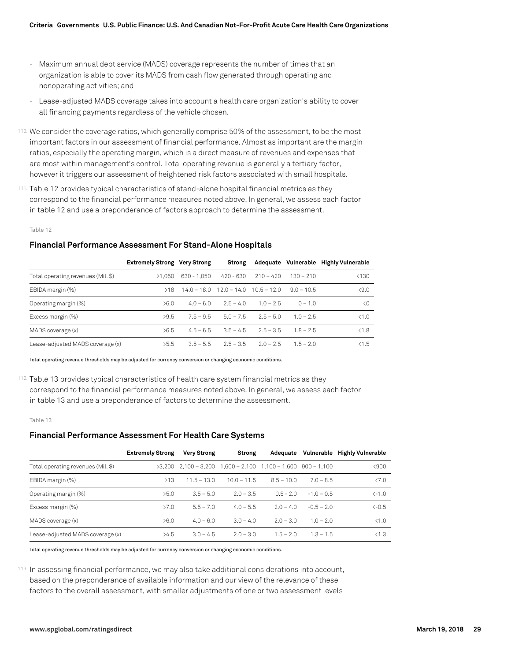- Maximum annual debt service (MADS) coverage represents the number of times that an organization is able to cover its MADS from cash flow generated through operating and nonoperating activities; and
- Lease-adjusted MADS coverage takes into account a health care organization's ability to cover all financing payments regardless of the vehicle chosen.
- 110. We consider the coverage ratios, which generally comprise 50% of the assessment, to be the most important factors in our assessment of financial performance. Almost as important are the margin ratios, especially the operating margin, which is a direct measure of revenues and expenses that are most within management's control. Total operating revenue is generally a tertiary factor, however it triggers our assessment of heightened risk factors associated with small hospitals.
- 111. Table 12 provides typical characteristics of stand-alone hospital financial metrics as they correspond to the financial performance measures noted above. In general, we assess each factor in table 12 and use a preponderance of factors approach to determine the assessment.

Table 12

#### **Financial Performance Assessment For Stand-Alone Hospitals**

|                                    | <b>Extremely Strong Very Strong</b> |               | Strong                                    |             |              | Adequate Vulnerable Highly Vulnerable |
|------------------------------------|-------------------------------------|---------------|-------------------------------------------|-------------|--------------|---------------------------------------|
| Total operating revenues (Mil. \$) | >1.050                              | $630 - 1.050$ | $420 - 630$                               | $210 - 420$ | $130 - 210$  | < 130                                 |
| EBIDA margin (%)                   | >18                                 |               | $14.0 - 18.0$ $12.0 - 14.0$ $10.5 - 12.0$ |             | $9.0 - 10.5$ | $\langle 9.0$                         |
| Operating margin (%)               | >6.0                                | $4.0 - 6.0$   | $2.5 - 4.0$                               | $1.0 - 2.5$ | $0 - 10$     | $\langle$ 0                           |
| Excess margin (%)                  | >9.5                                | $7.5 - 9.5$   | $50 - 75$                                 | $25 - 50$   | $10 - 25$    | $\leq 1.0$                            |
| MADS coverage (x)                  | >6.5                                | $4.5 - 6.5$   | $3.5 - 4.5$                               | $2.5 - 3.5$ | $1.8 - 2.5$  | < 1.8                                 |
| Lease-adjusted MADS coverage (x)   | >5.5                                | $3.5 - 5.5$   | $2.5 - 3.5$                               | $2.0 - 2.5$ | $15 - 20$    | < 1.5                                 |

Total operating revenue thresholds may be adjusted for currency conversion or changing economic conditions.

112. Table 13 provides typical characteristics of health care system financial metrics as they correspond to the financial performance measures noted above. In general, we assess each factor in table 13 and use a preponderance of factors to determine the assessment.

Table 13

#### **Financial Performance Assessment For Health Care Systems**

|                                    | <b>Extremely Strong</b> | <b>Very Strong</b>     | Strong                                        | Adequate     | Vulnerable   | <b>Highly Vulnerable</b> |
|------------------------------------|-------------------------|------------------------|-----------------------------------------------|--------------|--------------|--------------------------|
| Total operating revenues (Mil. \$) |                         | $>3.200$ 2.100 - 3.200 | $1,600 - 2,100$ $1,100 - 1,600$ 900 $- 1,100$ |              |              | < 900                    |
| EBIDA margin (%)                   | >13                     | $11.5 - 13.0$          | $10.0 - 11.5$                                 | $8.5 - 10.0$ | $70 - 85$    | $\langle 7.0$            |
| Operating margin (%)               | >5.0                    | $3.5 - 5.0$            | $2.0 - 3.5$                                   | $05 - 20$    | $-10 - 05$   | $\leftarrow$ 1.0         |
| Excess margin (%)                  | >7.0                    | $5.5 - 7.0$            | $4.0 - 5.5$                                   | $2.0 - 4.0$  | $-0.5 - 2.0$ | $\left(-0.5\right)$      |
| MADS coverage (x)                  | >6.0                    | $4.0 - 6.0$            | $3.0 - 4.0$                                   | $20 - 30$    | $1.0 - 2.0$  | < 1.0                    |
| Lease-adjusted MADS coverage (x)   | >4.5                    | $3.0 - 4.5$            | $2.0 - 3.0$                                   | $1.5 - 2.0$  | $1.3 - 1.5$  | < 1.3                    |

Total operating revenue thresholds may be adjusted for currency conversion or changing economic conditions.

113. In assessing financial performance, we may also take additional considerations into account, based on the preponderance of available information and our view of the relevance of these factors to the overall assessment, with smaller adjustments of one or two assessment levels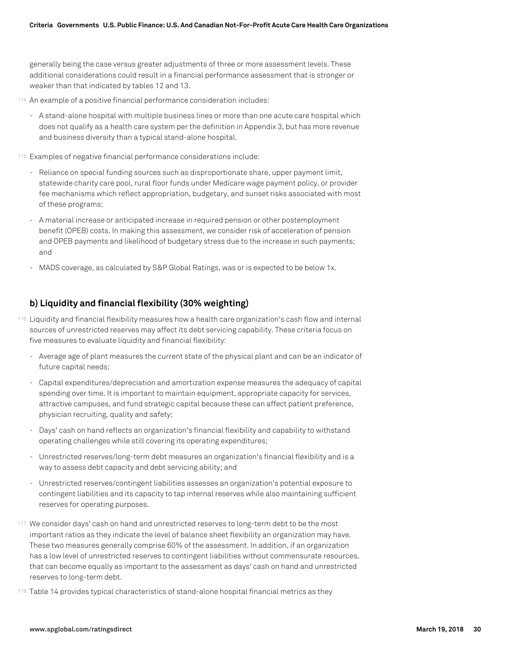generally being the case versus greater adjustments of three or more assessment levels. These additional considerations could result in a financial performance assessment that is stronger or weaker than that indicated by tables 12 and 13.

- 114. An example of a positive financial performance consideration includes:
	- A stand-alone hospital with multiple business lines or more than one acute care hospital which does not qualify as a health care system per the definition in Appendix 3, but has more revenue and business diversity than a typical stand-alone hospital.
- 115. Examples of negative financial performance considerations include:
	- Reliance on special funding sources such as disproportionate share, upper payment limit, statewide charity care pool, rural floor funds under Medicare wage payment policy, or provider fee mechanisms which reflect appropriation, budgetary, and sunset risks associated with most of these programs;
	- A material increase or anticipated increase in required pension or other postemployment benefit (OPEB) costs. In making this assessment, we consider risk of acceleration of pension and OPEB payments and likelihood of budgetary stress due to the increase in such payments; and
	- MADS coverage, as calculated by S&P Global Ratings, was or is expected to be below 1x.

# **b) Liquidity and financial flexibility (30% weighting)**

- 116. Liquidity and financial flexibility measures how a health care organization's cash flow and internal sources of unrestricted reserves may affect its debt servicing capability. These criteria focus on five measures to evaluate liquidity and financial flexibility:
	- Average age of plant measures the current state of the physical plant and can be an indicator of future capital needs;
	- Capital expenditures/depreciation and amortization expense measures the adequacy of capital spending over time. It is important to maintain equipment, appropriate capacity for services, attractive campuses, and fund strategic capital because these can affect patient preference, physician recruiting, quality and safety;
	- Days' cash on hand reflects an organization's financial flexibility and capability to withstand operating challenges while still covering its operating expenditures;
	- Unrestricted reserves/long-term debt measures an organization's financial flexibility and is a way to assess debt capacity and debt servicing ability; and
	- Unrestricted reserves/contingent liabilities assesses an organization's potential exposure to contingent liabilities and its capacity to tap internal reserves while also maintaining sufficient reserves for operating purposes.
- 117. We consider days' cash on hand and unrestricted reserves to long-term debt to be the most important ratios as they indicate the level of balance sheet flexibility an organization may have. These two measures generally comprise 60% of the assessment. In addition, if an organization has a low level of unrestricted reserves to contingent liabilities without commensurate resources, that can become equally as important to the assessment as days' cash on hand and unrestricted reserves to long-term debt.
- 118. Table 14 provides typical characteristics of stand-alone hospital financial metrics as they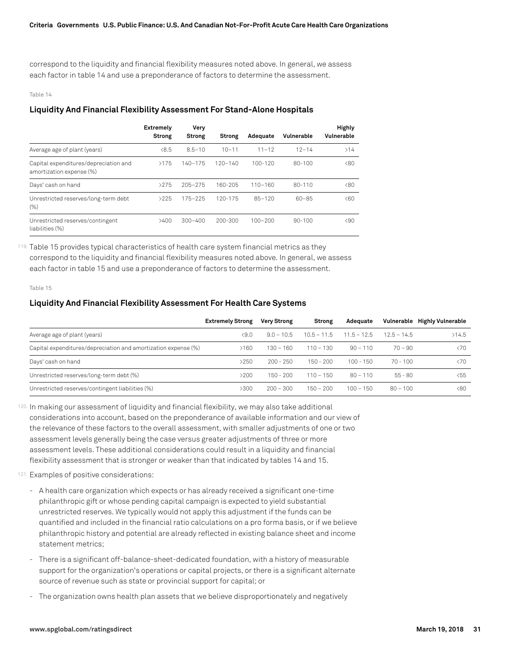correspond to the liquidity and financial flexibility measures noted above. In general, we assess each factor in table 14 and use a preponderance of factors to determine the assessment.

#### Table 14

#### **Liquidity And Financial Flexibility Assessment For Stand-Alone Hospitals**

|                                                                   | <b>Extremelv</b><br><b>Strong</b> | Very<br><b>Strong</b> | <b>Strong</b> | Adequate    | Vulnerable | <b>Highly</b><br>Vulnerable |
|-------------------------------------------------------------------|-----------------------------------|-----------------------|---------------|-------------|------------|-----------------------------|
| Average age of plant (years)                                      | < 8.5                             | $8.5 - 10$            | $10 - 11$     | $11 - 12$   | $12 - 14$  | >14                         |
| Capital expenditures/depreciation and<br>amortization expense (%) | >175                              | $140 - 175$           | $120 - 140$   | $100 - 120$ | $80 - 100$ | $\langle 80$                |
| Days' cash on hand                                                | >275                              | $205 - 275$           | 160-205       | $110 - 160$ | $80 - 110$ | $\langle 80$                |
| Unrestricted reserves/long-term debt<br>(% )                      | >225                              | $175 - 225$           | 120-175       | $85 - 120$  | $60 - 85$  | <60                         |
| Unrestricted reserves/contingent<br>liabilities (%)               | >400                              | $300 - 400$           | 200-300       | $100 - 200$ | $90 - 100$ | $\langle 90$                |

119. Table 15 provides typical characteristics of health care system financial metrics as they correspond to the liquidity and financial flexibility measures noted above. In general, we assess each factor in table 15 and use a preponderance of factors to determine the assessment.

#### Table 15

#### **Liquidity And Financial Flexibility Assessment For Health Care Systems**

|                                                                | <b>Extremely Strong</b> | <b>Very Strong</b> | Strong        | Adequate      |               | Vulnerable Highly Vulnerable |
|----------------------------------------------------------------|-------------------------|--------------------|---------------|---------------|---------------|------------------------------|
| Average age of plant (years)                                   | <9.0                    | $9.0 - 10.5$       | $10.5 - 11.5$ | $11.5 - 12.5$ | $12.5 - 14.5$ | >14.5                        |
| Capital expenditures/depreciation and amortization expense (%) | >160                    | $130 - 160$        | $110 - 130$   | $90 - 110$    | $70 - 90$     | $\langle 70$                 |
| Days' cash on hand                                             | >250                    | $200 - 250$        | $150 - 200$   | $100 - 150$   | $70 - 100$    | $\langle 70$                 |
| Unrestricted reserves/long-term debt (%)                       | >200                    | $150 - 200$        | $110 - 150$   | $80 - 110$    | $55 - 80$     | $55$                         |
| Unrestricted reserves/contingent liabilities (%)               | >300                    | $200 - 300$        | $150 - 200$   | $100 - 150$   | $80 - 100$    | &80                          |

120. In making our assessment of liquidity and financial flexibility, we may also take additional considerations into account, based on the preponderance of available information and our view of the relevance of these factors to the overall assessment, with smaller adjustments of one or two assessment levels generally being the case versus greater adjustments of three or more assessment levels. These additional considerations could result in a liquidity and financial flexibility assessment that is stronger or weaker than that indicated by tables 14 and 15.

- 121. Examples of positive considerations:
	- A health care organization which expects or has already received a significant one-time philanthropic gift or whose pending capital campaign is expected to yield substantial unrestricted reserves. We typically would not apply this adjustment if the funds can be quantified and included in the financial ratio calculations on a pro forma basis, or if we believe philanthropic history and potential are already reflected in existing balance sheet and income statement metrics;
	- There is a significant off-balance-sheet-dedicated foundation, with a history of measurable support for the organization's operations or capital projects, or there is a significant alternate source of revenue such as state or provincial support for capital; or
	- The organization owns health plan assets that we believe disproportionately and negatively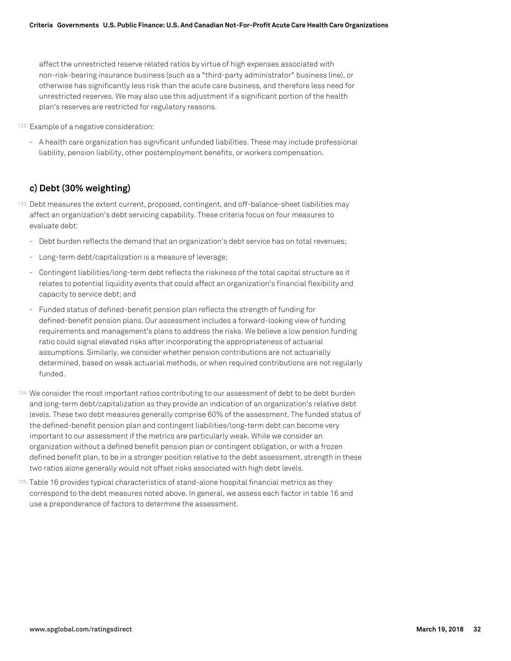affect the unrestricted reserve related ratios by virtue of high expenses associated with non-risk-bearing insurance business (such as a "third-party administrator" business line), or otherwise has significantly less risk than the acute care business, and therefore less need for unrestricted reserves. We may also use this adjustment if a significant portion of the health plan's reserves are restricted for regulatory reasons.

- 122. Example of a negative consideration:
	- A health care organization has significant unfunded liabilities. These may include professional liability, pension liability, other postemployment benefits, or workers compensation.

# **c) Debt (30% weighting)**

- 123. Debt measures the extent current, proposed, contingent, and off-balance-sheet liabilities may affect an organization's debt servicing capability. These criteria focus on four measures to evaluate debt:
	- Debt burden reflects the demand that an organization's debt service has on total revenues;
	- Long-term debt/capitalization is a measure of leverage;
	- Contingent liabilities/long-term debt reflects the riskiness of the total capital structure as it relates to potential liquidity events that could affect an organization's financial flexibility and capacity to service debt; and
	- Funded status of defined-benefit pension plan reflects the strength of funding for defined-benefit pension plans. Our assessment includes a forward-looking view of funding requirements and management's plans to address the risks. We believe a low pension funding ratio could signal elevated risks after incorporating the appropriateness of actuarial assumptions. Similarly, we consider whether pension contributions are not actuarially determined, based on weak actuarial methods, or when required contributions are not regularly funded.
- 124. We consider the most important ratios contributing to our assessment of debt to be debt burden and long-term debt/capitalization as they provide an indication of an organization's relative debt levels. These two debt measures generally comprise 60% of the assessment. The funded status of the defined-benefit pension plan and contingent liabilities/long-term debt can become very important to our assessment if the metrics are particularly weak. While we consider an organization without a defined benefit pension plan or contingent obligation, or with a frozen defined benefit plan, to be in a stronger position relative to the debt assessment, strength in these two ratios alone generally would not offset risks associated with high debt levels.
- 125. Table 16 provides typical characteristics of stand-alone hospital financial metrics as they correspond to the debt measures noted above. In general, we assess each factor in table 16 and use a preponderance of factors to determine the assessment.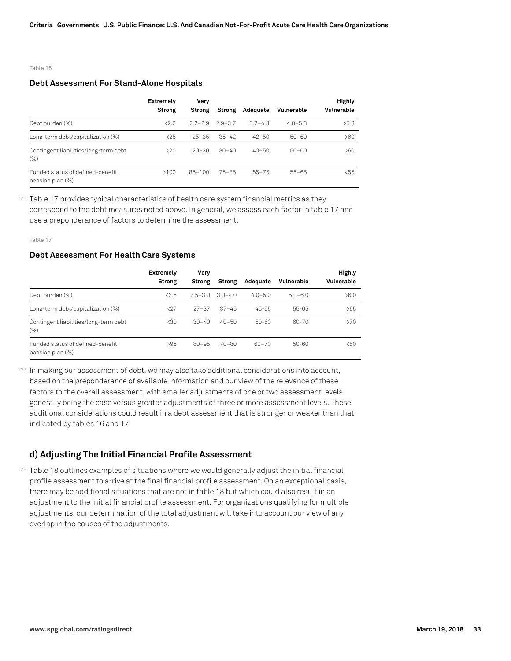#### Table 16

#### **Debt Assessment For Stand-Alone Hospitals**

|                                                      | <b>Extremely</b> | Verv          |             |             |             | <b>Highly</b> |
|------------------------------------------------------|------------------|---------------|-------------|-------------|-------------|---------------|
|                                                      | Strong           | <b>Strong</b> | Strong      | Adequate    | Vulnerable  | Vulnerable    |
| Debt burden (%)                                      | < 2.2            | $2.2 - 2.9$   | $2.9 - 3.7$ | $3.7 - 4.8$ | $4.8 - 5.8$ | >5.8          |
| Long-term debt/capitalization (%)                    | $25$             | $25 - 35$     | $35 - 42$   | $42 - 50$   | $50 - 60$   | >60           |
| Contingent liabilities/long-term debt<br>$(\% )$     | $20$             | $20 - 30$     | $30 - 40$   | $40 - 50$   | $50 - 60$   | >60           |
| Funded status of defined-benefit<br>pension plan (%) | >100             | $85 - 100$    | $75 - 85$   | $65 - 75$   | $55 - 65$   | $55$          |

126. Table 17 provides typical characteristics of health care system financial metrics as they correspond to the debt measures noted above. In general, we assess each factor in table 17 and use a preponderance of factors to determine the assessment.

Table 17

#### **Debt Assessment For Health Care Systems**

|                                                      | Extremely<br><b>Strong</b> | Very<br><b>Strong</b> | Strong      | Adequate    | Vulnerable  | <b>Highly</b><br>Vulnerable |
|------------------------------------------------------|----------------------------|-----------------------|-------------|-------------|-------------|-----------------------------|
| Debt burden (%)                                      | < 2.5                      | $2.5 - 3.0$           | $3.0 - 4.0$ | $4.0 - 5.0$ | $5.0 - 6.0$ | >6.0                        |
| Long-term debt/capitalization (%)                    | $\langle 27$               | $27 - 37$             | $37 - 45$   | $45 - 55$   | 55-65       | >65                         |
| Contingent liabilities/long-term debt<br>(% )        | $\langle 30$               | $30 - 40$             | $40 - 50$   | 50-60       | $60 - 70$   | >70                         |
| Funded status of defined-benefit<br>pension plan (%) | >95                        | $80 - 95$             | $70 - 80$   | 60-70       | 50-60       | $50$                        |

127. In making our assessment of debt, we may also take additional considerations into account, based on the preponderance of available information and our view of the relevance of these factors to the overall assessment, with smaller adjustments of one or two assessment levels generally being the case versus greater adjustments of three or more assessment levels. These additional considerations could result in a debt assessment that is stronger or weaker than that indicated by tables 16 and 17.

# **d) Adjusting The Initial Financial Profile Assessment**

128. Table 18 outlines examples of situations where we would generally adjust the initial financial profile assessment to arrive at the final financial profile assessment. On an exceptional basis, there may be additional situations that are not in table 18 but which could also result in an adjustment to the initial financial profile assessment. For organizations qualifying for multiple adjustments, our determination of the total adjustment will take into account our view of any overlap in the causes of the adjustments.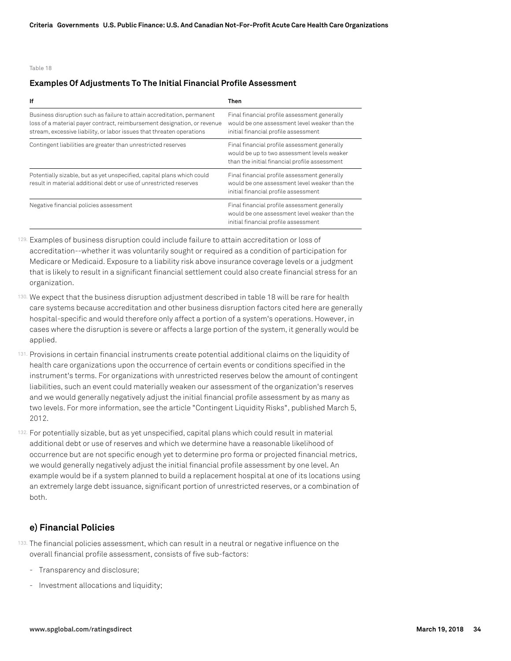#### Table 18

#### **Examples Of Adjustments To The Initial Financial Profile Assessment**

| lf                                                                                                                                                                                                                          | Then                                                                                                                                         |
|-----------------------------------------------------------------------------------------------------------------------------------------------------------------------------------------------------------------------------|----------------------------------------------------------------------------------------------------------------------------------------------|
| Business disruption such as failure to attain accreditation, permanent<br>loss of a material payer contract, reimbursement designation, or revenue<br>stream, excessive liability, or labor issues that threaten operations | Final financial profile assessment generally<br>would be one assessment level weaker than the<br>initial financial profile assessment        |
| Contingent liabilities are greater than unrestricted reserves                                                                                                                                                               | Final financial profile assessment generally<br>would be up to two assessment levels weaker<br>than the initial financial profile assessment |
| Potentially sizable, but as yet unspecified, capital plans which could<br>result in material additional debt or use of unrestricted reserves                                                                                | Final financial profile assessment generally<br>would be one assessment level weaker than the<br>initial financial profile assessment        |
| Negative financial policies assessment                                                                                                                                                                                      | Final financial profile assessment generally<br>would be one assessment level weaker than the<br>initial financial profile assessment        |

129. Examples of business disruption could include failure to attain accreditation or loss of accreditation--whether it was voluntarily sought or required as a condition of participation for Medicare or Medicaid. Exposure to a liability risk above insurance coverage levels or a judgment that is likely to result in a significant financial settlement could also create financial stress for an organization.

- 130. We expect that the business disruption adjustment described in table 18 will be rare for health care systems because accreditation and other business disruption factors cited here are generally hospital-specific and would therefore only affect a portion of a system's operations. However, in cases where the disruption is severe or affects a large portion of the system, it generally would be applied.
- 131. Provisions in certain financial instruments create potential additional claims on the liquidity of health care organizations upon the occurrence of certain events or conditions specified in the instrument's terms. For organizations with unrestricted reserves below the amount of contingent liabilities, such an event could materially weaken our assessment of the organization's reserves and we would generally negatively adjust the initial financial profile assessment by as many as two levels. For more information, see the article "Contingent Liquidity Risks", published March 5, 2012.
- 132. For potentially sizable, but as yet unspecified, capital plans which could result in material additional debt or use of reserves and which we determine have a reasonable likelihood of occurrence but are not specific enough yet to determine pro forma or projected financial metrics, we would generally negatively adjust the initial financial profile assessment by one level. An example would be if a system planned to build a replacement hospital at one of its locations using an extremely large debt issuance, significant portion of unrestricted reserves, or a combination of both.

# **e) Financial Policies**

- 133. The financial policies assessment, which can result in a neutral or negative influence on the overall financial profile assessment, consists of five sub-factors:
	- Transparency and disclosure;
	- Investment allocations and liquidity;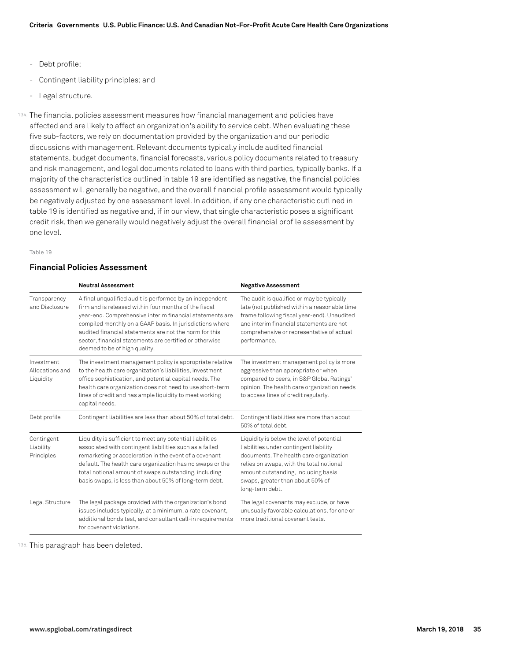- Debt profile;
- Contingent liability principles; and
- Legal structure.

134. The financial policies assessment measures how financial management and policies have affected and are likely to affect an organization's ability to service debt. When evaluating these five sub-factors, we rely on documentation provided by the organization and our periodic discussions with management. Relevant documents typically include audited financial statements, budget documents, financial forecasts, various policy documents related to treasury and risk management, and legal documents related to loans with third parties, typically banks. If a majority of the characteristics outlined in table 19 are identified as negative, the financial policies assessment will generally be negative, and the overall financial profile assessment would typically be negatively adjusted by one assessment level. In addition, if any one characteristic outlined in table 19 is identified as negative and, if in our view, that single characteristic poses a significant credit risk, then we generally would negatively adjust the overall financial profile assessment by one level.

#### Table 19

# **Financial Policies Assessment**

|                                            | <b>Neutral Assessment</b>                                                                                                                                                                                                                                                                                                                                                                       | <b>Negative Assessment</b>                                                                                                                                                                                                                                               |
|--------------------------------------------|-------------------------------------------------------------------------------------------------------------------------------------------------------------------------------------------------------------------------------------------------------------------------------------------------------------------------------------------------------------------------------------------------|--------------------------------------------------------------------------------------------------------------------------------------------------------------------------------------------------------------------------------------------------------------------------|
| Transparency<br>and Disclosure             | A final unqualified audit is performed by an independent<br>firm and is released within four months of the fiscal<br>year-end. Comprehensive interim financial statements are<br>compiled monthly on a GAAP basis. In jurisdictions where<br>audited financial statements are not the norm for this<br>sector, financial statements are certified or otherwise<br>deemed to be of high quality. | The audit is qualified or may be typically<br>late (not published within a reasonable time<br>frame following fiscal year-end). Unaudited<br>and interim financial statements are not<br>comprehensive or representative of actual<br>performance.                       |
| Investment<br>Allocations and<br>Liquidity | The investment management policy is appropriate relative<br>to the health care organization's liabilities, investment<br>office sophistication, and potential capital needs. The<br>health care organization does not need to use short-term<br>lines of credit and has ample liquidity to meet working<br>capital needs.                                                                       | The investment management policy is more<br>aggressive than appropriate or when<br>compared to peers, in S&P Global Ratings'<br>opinion. The health care organization needs<br>to access lines of credit regularly.                                                      |
| Debt profile                               | Contingent liabilities are less than about 50% of total debt.                                                                                                                                                                                                                                                                                                                                   | Contingent liabilities are more than about<br>50% of total debt.                                                                                                                                                                                                         |
| Contingent<br>Liability<br>Principles      | Liquidity is sufficient to meet any potential liabilities<br>associated with contingent liabilities such as a failed<br>remarketing or acceleration in the event of a covenant<br>default. The health care organization has no swaps or the<br>total notional amount of swaps outstanding, including<br>basis swaps, is less than about 50% of long-term debt.                                  | Liquidity is below the level of potential<br>liabilities under contingent liability<br>documents. The health care organization<br>relies on swaps, with the total notional<br>amount outstanding, including basis<br>swaps, greater than about 50% of<br>long-term debt. |
| Legal Structure                            | The legal package provided with the organization's bond<br>issues includes typically, at a minimum, a rate covenant,<br>additional bonds test, and consultant call-in requirements<br>for covenant violations.                                                                                                                                                                                  | The legal covenants may exclude, or have<br>unusually favorable calculations, for one or<br>more traditional covenant tests.                                                                                                                                             |

135. This paragraph has been deleted.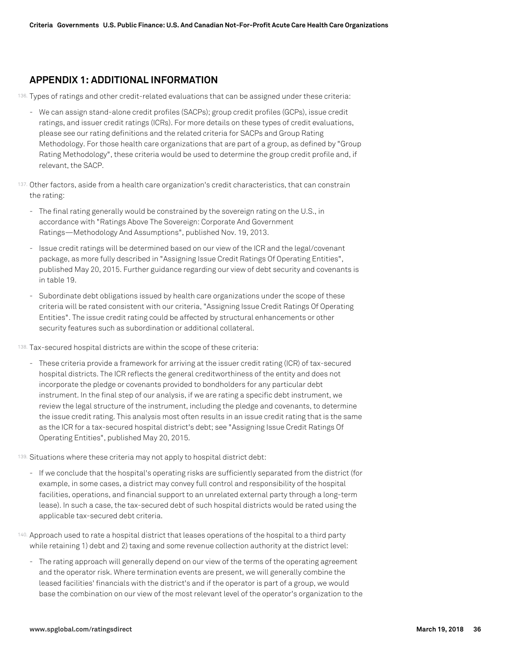# **APPENDIX 1: ADDITIONAL INFORMATION**

136. Types of ratings and other credit-related evaluations that can be assigned under these criteria:

- We can assign stand-alone credit profiles (SACPs); group credit profiles (GCPs), issue credit ratings, and issuer credit ratings (ICRs). For more details on these types of credit evaluations, please see our rating definitions and the related criteria for SACPs and Group Rating Methodology. For those health care organizations that are part of a group, as defined by "Group Rating Methodology", these criteria would be used to determine the group credit profile and, if relevant, the SACP.
- 137. Other factors, aside from a health care organization's credit characteristics, that can constrain the rating:
	- The final rating generally would be constrained by the sovereign rating on the U.S., in accordance with "Ratings Above The Sovereign: Corporate And Government Ratings—Methodology And Assumptions", published Nov. 19, 2013.
	- Issue credit ratings will be determined based on our view of the ICR and the legal/covenant package, as more fully described in "Assigning Issue Credit Ratings Of Operating Entities", published May 20, 2015. Further guidance regarding our view of debt security and covenants is in table 19.
	- Subordinate debt obligations issued by health care organizations under the scope of these criteria will be rated consistent with our criteria, "Assigning Issue Credit Ratings Of Operating Entities". The issue credit rating could be affected by structural enhancements or other security features such as subordination or additional collateral.
- 138. Tax-secured hospital districts are within the scope of these criteria:
	- These criteria provide a framework for arriving at the issuer credit rating (ICR) of tax-secured hospital districts. The ICR reflects the general creditworthiness of the entity and does not incorporate the pledge or covenants provided to bondholders for any particular debt instrument. In the final step of our analysis, if we are rating a specific debt instrument, we review the legal structure of the instrument, including the pledge and covenants, to determine the issue credit rating. This analysis most often results in an issue credit rating that is the same as the ICR for a tax-secured hospital district's debt; see "Assigning Issue Credit Ratings Of Operating Entities", published May 20, 2015.
- 139. Situations where these criteria may not apply to hospital district debt:
	- If we conclude that the hospital's operating risks are sufficiently separated from the district (for example, in some cases, a district may convey full control and responsibility of the hospital facilities, operations, and financial support to an unrelated external party through a long-term lease). In such a case, the tax-secured debt of such hospital districts would be rated using the applicable tax-secured debt criteria.
- 140. Approach used to rate a hospital district that leases operations of the hospital to a third party while retaining 1) debt and 2) taxing and some revenue collection authority at the district level:
	- The rating approach will generally depend on our view of the terms of the operating agreement and the operator risk. Where termination events are present, we will generally combine the leased facilities' financials with the district's and if the operator is part of a group, we would base the combination on our view of the most relevant level of the operator's organization to the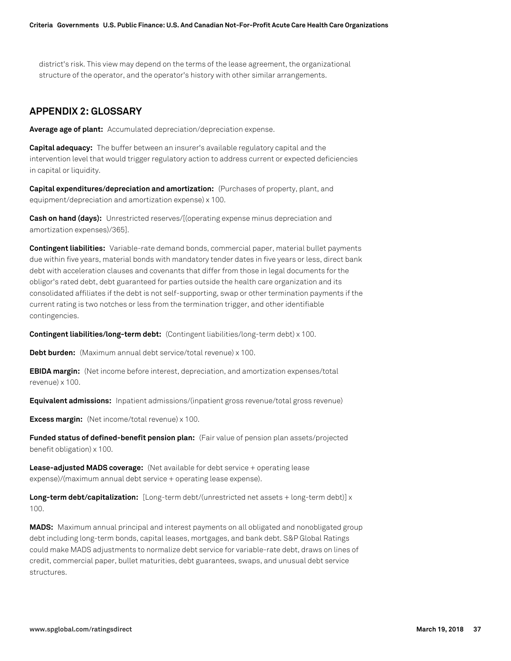district's risk. This view may depend on the terms of the lease agreement, the organizational structure of the operator, and the operator's history with other similar arrangements.

# **APPENDIX 2: GLOSSARY**

**Average age of plant:** Accumulated depreciation/depreciation expense.

**Capital adequacy:** The buffer between an insurer's available regulatory capital and the intervention level that would trigger regulatory action to address current or expected deficiencies in capital or liquidity.

**Capital expenditures/depreciation and amortization:** (Purchases of property, plant, and equipment/depreciation and amortization expense) x 100.

**Cash on hand (days):** Unrestricted reserves/[(operating expense minus depreciation and amortization expenses)/365].

**Contingent liabilities:** Variable-rate demand bonds, commercial paper, material bullet payments due within five years, material bonds with mandatory tender dates in five years or less, direct bank debt with acceleration clauses and covenants that differ from those in legal documents for the obligor's rated debt, debt guaranteed for parties outside the health care organization and its consolidated affiliates if the debt is not self-supporting, swap or other termination payments if the current rating is two notches or less from the termination trigger, and other identifiable contingencies.

**Contingent liabilities/long-term debt:** (Contingent liabilities/long-term debt) x 100.

**Debt burden:** (Maximum annual debt service/total revenue) x 100.

**EBIDA margin:** (Net income before interest, depreciation, and amortization expenses/total revenue) x 100.

**Equivalent admissions:** Inpatient admissions/(inpatient gross revenue/total gross revenue)

**Excess margin:** (Net income/total revenue) x 100.

**Funded status of defined-benefit pension plan:** (Fair value of pension plan assets/projected benefit obligation) x 100.

**Lease-adjusted MADS coverage:** (Net available for debt service + operating lease expense)/(maximum annual debt service + operating lease expense).

**Long-term debt/capitalization:** [Long-term debt/(unrestricted net assets + long-term debt)] x 100.

**MADS:** Maximum annual principal and interest payments on all obligated and nonobligated group debt including long-term bonds, capital leases, mortgages, and bank debt. S&P Global Ratings could make MADS adjustments to normalize debt service for variable-rate debt, draws on lines of credit, commercial paper, bullet maturities, debt guarantees, swaps, and unusual debt service structures.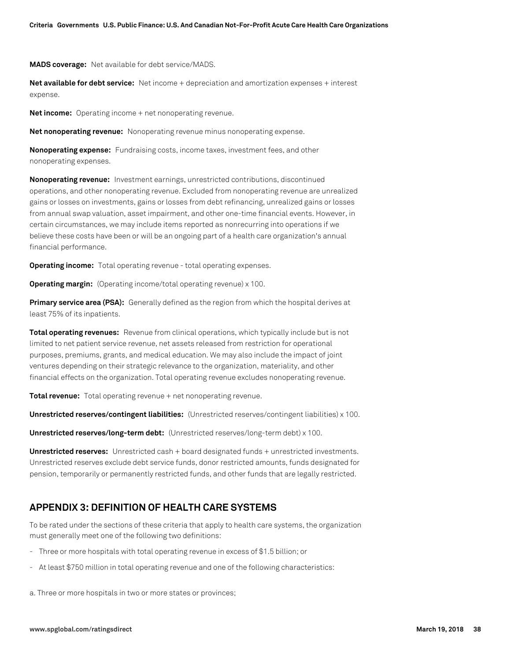**MADS coverage:** Net available for debt service/MADS.

**Net available for debt service:** Net income + depreciation and amortization expenses + interest expense.

**Net income:** Operating income + net nonoperating revenue.

**Net nonoperating revenue:** Nonoperating revenue minus nonoperating expense.

**Nonoperating expense:** Fundraising costs, income taxes, investment fees, and other nonoperating expenses.

**Nonoperating revenue:** Investment earnings, unrestricted contributions, discontinued operations, and other nonoperating revenue. Excluded from nonoperating revenue are unrealized gains or losses on investments, gains or losses from debt refinancing, unrealized gains or losses from annual swap valuation, asset impairment, and other one-time financial events. However, in certain circumstances, we may include items reported as nonrecurring into operations if we believe these costs have been or will be an ongoing part of a health care organization's annual financial performance.

**Operating income:** Total operating revenue - total operating expenses.

**Operating margin:** (Operating income/total operating revenue) x 100.

**Primary service area (PSA):** Generally defined as the region from which the hospital derives at least 75% of its inpatients.

**Total operating revenues:** Revenue from clinical operations, which typically include but is not limited to net patient service revenue, net assets released from restriction for operational purposes, premiums, grants, and medical education. We may also include the impact of joint ventures depending on their strategic relevance to the organization, materiality, and other financial effects on the organization. Total operating revenue excludes nonoperating revenue.

**Total revenue:** Total operating revenue + net nonoperating revenue.

**Unrestricted reserves/contingent liabilities:** (Unrestricted reserves/contingent liabilities) x 100.

**Unrestricted reserves/long-term debt:** (Unrestricted reserves/long-term debt) x 100.

**Unrestricted reserves:** Unrestricted cash + board designated funds + unrestricted investments. Unrestricted reserves exclude debt service funds, donor restricted amounts, funds designated for pension, temporarily or permanently restricted funds, and other funds that are legally restricted.

# **APPENDIX 3: DEFINITION OF HEALTH CARE SYSTEMS**

To be rated under the sections of these criteria that apply to health care systems, the organization must generally meet one of the following two definitions:

- Three or more hospitals with total operating revenue in excess of \$1.5 billion; or
- At least \$750 million in total operating revenue and one of the following characteristics:

a. Three or more hospitals in two or more states or provinces;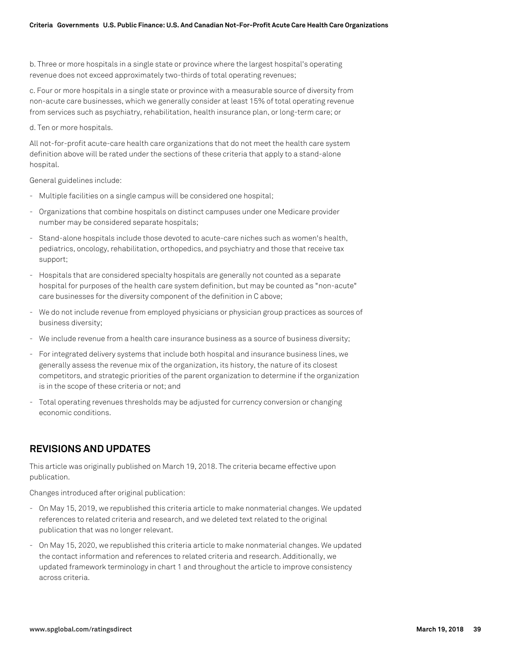b. Three or more hospitals in a single state or province where the largest hospital's operating revenue does not exceed approximately two-thirds of total operating revenues;

c. Four or more hospitals in a single state or province with a measurable source of diversity from non-acute care businesses, which we generally consider at least 15% of total operating revenue from services such as psychiatry, rehabilitation, health insurance plan, or long-term care; or

d. Ten or more hospitals.

All not-for-profit acute-care health care organizations that do not meet the health care system definition above will be rated under the sections of these criteria that apply to a stand-alone hospital.

General guidelines include:

- Multiple facilities on a single campus will be considered one hospital;
- Organizations that combine hospitals on distinct campuses under one Medicare provider number may be considered separate hospitals;
- Stand-alone hospitals include those devoted to acute-care niches such as women's health, pediatrics, oncology, rehabilitation, orthopedics, and psychiatry and those that receive tax support;
- Hospitals that are considered specialty hospitals are generally not counted as a separate hospital for purposes of the health care system definition, but may be counted as "non-acute" care businesses for the diversity component of the definition in C above;
- We do not include revenue from employed physicians or physician group practices as sources of business diversity;
- We include revenue from a health care insurance business as a source of business diversity;
- For integrated delivery systems that include both hospital and insurance business lines, we generally assess the revenue mix of the organization, its history, the nature of its closest competitors, and strategic priorities of the parent organization to determine if the organization is in the scope of these criteria or not; and
- Total operating revenues thresholds may be adjusted for currency conversion or changing economic conditions.

# **REVISIONS AND UPDATES**

This article was originally published on March 19, 2018. The criteria became effective upon publication.

Changes introduced after original publication:

- On May 15, 2019, we republished this criteria article to make nonmaterial changes. We updated references to related criteria and research, and we deleted text related to the original publication that was no longer relevant.
- On May 15, 2020, we republished this criteria article to make nonmaterial changes. We updated the contact information and references to related criteria and research. Additionally, we updated framework terminology in chart 1 and throughout the article to improve consistency across criteria.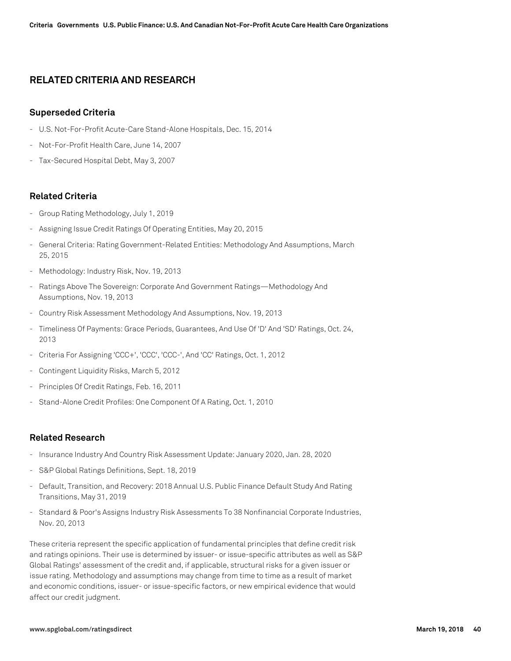# **RELATED CRITERIA AND RESEARCH**

### **Superseded Criteria**

- U.S. Not-For-Profit Acute-Care Stand-Alone Hospitals, Dec. 15, 2014
- Not-For-Profit Health Care, June 14, 2007
- Tax-Secured Hospital Debt, May 3, 2007

### **Related Criteria**

- Group Rating Methodology, July 1, 2019
- Assigning Issue Credit Ratings Of Operating Entities, May 20, 2015
- General Criteria: Rating Government-Related Entities: Methodology And Assumptions, March 25, 2015
- Methodology: Industry Risk, Nov. 19, 2013
- Ratings Above The Sovereign: Corporate And Government Ratings—Methodology And Assumptions, Nov. 19, 2013
- Country Risk Assessment Methodology And Assumptions, Nov. 19, 2013
- Timeliness Of Payments: Grace Periods, Guarantees, And Use Of 'D' And 'SD' Ratings, Oct. 24, 2013
- Criteria For Assigning 'CCC+', 'CCC', 'CCC-', And 'CC' Ratings, Oct. 1, 2012
- Contingent Liquidity Risks, March 5, 2012
- Principles Of Credit Ratings, Feb. 16, 2011
- Stand-Alone Credit Profiles: One Component Of A Rating, Oct. 1, 2010

# **Related Research**

- Insurance Industry And Country Risk Assessment Update: January 2020, Jan. 28, 2020
- S&P Global Ratings Definitions, Sept. 18, 2019
- Default, Transition, and Recovery: 2018 Annual U.S. Public Finance Default Study And Rating Transitions, May 31, 2019
- Standard & Poor's Assigns Industry Risk Assessments To 38 Nonfinancial Corporate Industries, Nov. 20, 2013

These criteria represent the specific application of fundamental principles that define credit risk and ratings opinions. Their use is determined by issuer- or issue-specific attributes as well as S&P Global Ratings' assessment of the credit and, if applicable, structural risks for a given issuer or issue rating. Methodology and assumptions may change from time to time as a result of market and economic conditions, issuer- or issue-specific factors, or new empirical evidence that would affect our credit judgment.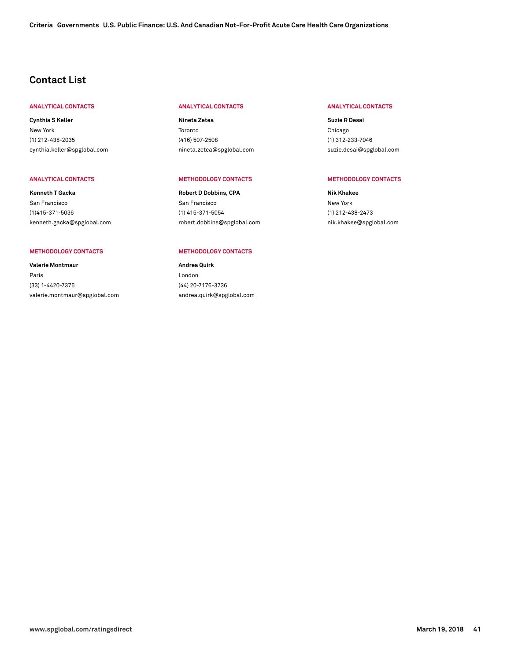# **Contact List**

#### **ANALYTICAL CONTACTS ANALYTICAL CONTACTS ANALYTICAL CONTACTS**

**Cynthia S Keller** New York (1) 212-438-2035 [cynthia.keller@spglobal.com](mailto: cynthia.keller@spglobal.com)

**Kenneth T Gacka** San Francisco (1)415-371-5036 [kenneth.gacka@spglobal.com](mailto: kenneth.gacka@spglobal.com)

#### **METHODOLOGY CONTACTS METHODOLOGY CONTACTS**

**Valerie Montmaur** Paris (33) 1-4420-7375 [valerie.montmaur@spglobal.com](mailto: valerie.montmaur@spglobal.com)

**Nineta Zetea** Toronto (416) 507-2508 [nineta.zetea@spglobal.com](mailto: nineta.zetea@spglobal.com)

#### **ANALYTICAL CONTACTS METHODOLOGY CONTACTS METHODOLOGY CONTACTS**

**Robert D Dobbins, CPA** San Francisco (1) 415-371-5054 [robert.dobbins@spglobal.com](mailto: robert.dobbins@spglobal.com)

**Andrea Quirk** London (44) 20-7176-3736 [andrea.quirk@spglobal.com](mailto: andrea.quirk@spglobal.com)

**Suzie R Desai** Chicago (1) 312-233-7046 [suzie.desai@spglobal.com](mailto: suzie.desai@spglobal.com)

**Nik Khakee** New York (1) 212-438-2473 [nik.khakee@spglobal.com](mailto: nik.khakee@spglobal.com)